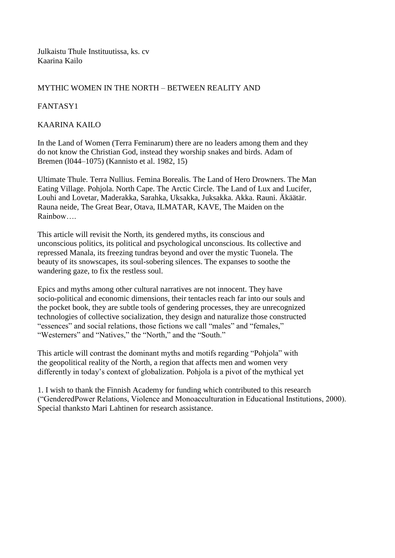Julkaistu Thule Instituutissa, ks. cv Kaarina Kailo

# MYTHIC WOMEN IN THE NORTH – BETWEEN REALITY AND

# FANTASY1

# KAARINA KAILO

In the Land of Women (Terra Feminarum) there are no leaders among them and they do not know the Christian God, instead they worship snakes and birds. Adam of Bremen (l044–1075) (Kannisto et al. 1982, 15)

Ultimate Thule. Terra Nullius. Femina Borealis. The Land of Hero Drowners. The Man Eating Village. Pohjola. North Cape. The Arctic Circle. The Land of Lux and Lucifer, Louhi and Lovetar, Maderakka, Sarahka, Uksakka, Juksakka. Akka. Rauni. Äkäätär. Rauna neide, The Great Bear, Otava, ILMATAR, KAVE, The Maiden on the Rainbow….

This article will revisit the North, its gendered myths, its conscious and unconscious politics, its political and psychological unconscious. Its collective and repressed Manala, its freezing tundras beyond and over the mystic Tuonela. The beauty of its snowscapes, its soul-sobering silences. The expanses to soothe the wandering gaze, to fix the restless soul.

Epics and myths among other cultural narratives are not innocent. They have socio-political and economic dimensions, their tentacles reach far into our souls and the pocket book, they are subtle tools of gendering processes, they are unrecognized technologies of collective socialization, they design and naturalize those constructed "essences" and social relations, those fictions we call "males" and "females," "Westerners" and "Natives," the "North," and the "South."

This article will contrast the dominant myths and motifs regarding "Pohjola" with the geopolitical reality of the North, a region that affects men and women very differently in today's context of globalization. Pohjola is a pivot of the mythical yet

1. I wish to thank the Finnish Academy for funding which contributed to this research ("GenderedPower Relations, Violence and Monoacculturation in Educational Institutions, 2000). Special thanksto Mari Lahtinen for research assistance.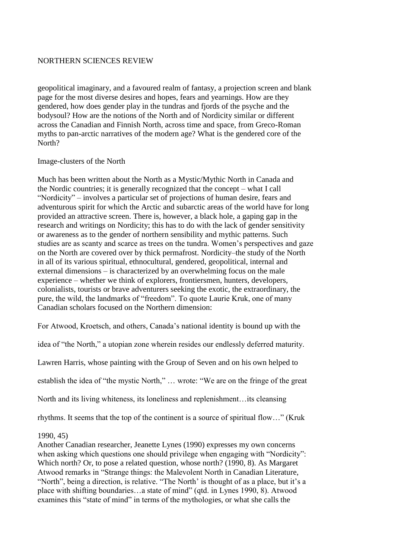geopolitical imaginary, and a favoured realm of fantasy, a projection screen and blank page for the most diverse desires and hopes, fears and yearnings. How are they gendered, how does gender play in the tundras and fjords of the psyche and the bodysoul? How are the notions of the North and of Nordicity similar or different across the Canadian and Finnish North, across time and space, from Greco-Roman myths to pan-arctic narratives of the modern age? What is the gendered core of the North?

### Image-clusters of the North

Much has been written about the North as a Mystic/Mythic North in Canada and the Nordic countries; it is generally recognized that the concept – what I call "Nordicity" – involves a particular set of projections of human desire, fears and adventurous spirit for which the Arctic and subarctic areas of the world have for long provided an attractive screen. There is, however, a black hole, a gaping gap in the research and writings on Nordicity; this has to do with the lack of gender sensitivity or awareness as to the gender of northern sensibility and mythic patterns. Such studies are as scanty and scarce as trees on the tundra. Women's perspectives and gaze on the North are covered over by thick permafrost. Nordicity–the study of the North in all of its various spiritual, ethnocultural, gendered, geopolitical, internal and external dimensions – is characterized by an overwhelming focus on the male experience – whether we think of explorers, frontiersmen, hunters, developers, colonialists, tourists or brave adventurers seeking the exotic, the extraordinary, the pure, the wild, the landmarks of "freedom". To quote Laurie Kruk, one of many Canadian scholars focused on the Northern dimension:

For Atwood, Kroetsch, and others, Canada's national identity is bound up with the

idea of "the North," a utopian zone wherein resides our endlessly deferred maturity.

Lawren Harris, whose painting with the Group of Seven and on his own helped to

establish the idea of "the mystic North," … wrote: "We are on the fringe of the great

North and its living whiteness, its loneliness and replenishment…its cleansing

rhythms. It seems that the top of the continent is a source of spiritual flow…" (Kruk

1990, 45)

Another Canadian researcher, Jeanette Lynes (1990) expresses my own concerns when asking which questions one should privilege when engaging with "Nordicity": Which north? Or, to pose a related question, whose north? (1990, 8). As Margaret Atwood remarks in "Strange things: the Malevolent North in Canadian Literature, "North", being a direction, is relative. "The North' is thought of as a place, but it's a place with shifting boundaries…a state of mind" (qtd. in Lynes 1990, 8). Atwood examines this "state of mind" in terms of the mythologies, or what she calls the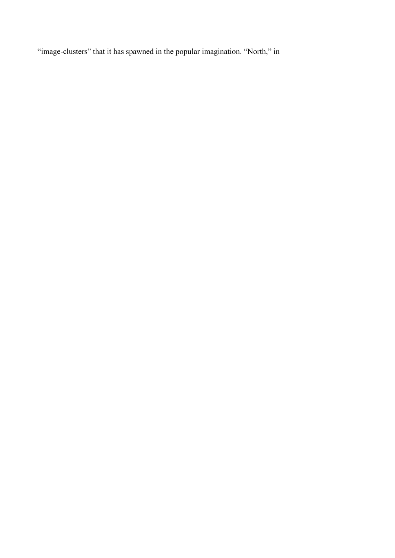"image-clusters" that it has spawned in the popular imagination. "North," in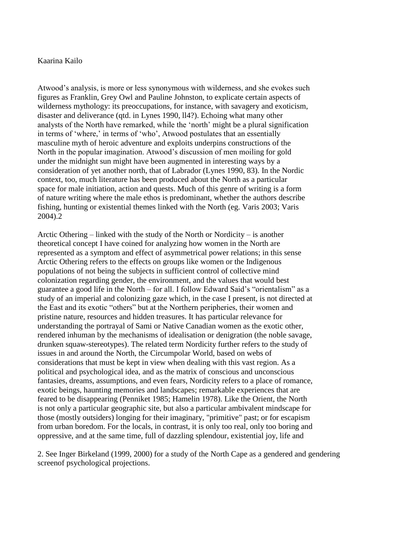Atwood's analysis, is more or less synonymous with wilderness, and she evokes such figures as Franklin, Grey Owl and Pauline Johnston, to explicate certain aspects of wilderness mythology: its preoccupations, for instance, with savagery and exoticism, disaster and deliverance (qtd. in Lynes 1990, ll4?). Echoing what many other analysts of the North have remarked, while the 'north' might be a plural signification in terms of 'where,' in terms of 'who', Atwood postulates that an essentially masculine myth of heroic adventure and exploits underpins constructions of the North in the popular imagination. Atwood's discussion of men moiling for gold under the midnight sun might have been augmented in interesting ways by a consideration of yet another north, that of Labrador (Lynes 1990, 83). In the Nordic context, too, much literature has been produced about the North as a particular space for male initiation, action and quests. Much of this genre of writing is a form of nature writing where the male ethos is predominant, whether the authors describe fishing, hunting or existential themes linked with the North (eg. Varis 2003; Varis 2004).2

Arctic Othering – linked with the study of the North or Nordicity – is another theoretical concept I have coined for analyzing how women in the North are represented as a symptom and effect of asymmetrical power relations; in this sense Arctic Othering refers to the effects on groups like women or the Indigenous populations of not being the subjects in sufficient control of collective mind colonization regarding gender, the environment, and the values that would best guarantee a good life in the North – for all. I follow Edward Said's "orientalism" as a study of an imperial and colonizing gaze which, in the case I present, is not directed at the East and its exotic "others" but at the Northern peripheries, their women and pristine nature, resources and hidden treasures. It has particular relevance for understanding the portrayal of Sami or Native Canadian women as the exotic other, rendered inhuman by the mechanisms of idealisation or denigration (the noble savage, drunken squaw-stereotypes). The related term Nordicity further refers to the study of issues in and around the North, the Circumpolar World, based on webs of considerations that must be kept in view when dealing with this vast region. As a political and psychological idea, and as the matrix of conscious and unconscious fantasies, dreams, assumptions, and even fears, Nordicity refers to a place of romance, exotic beings, haunting memories and landscapes; remarkable experiences that are feared to be disappearing (Penniket 1985; Hamelin 1978). Like the Orient, the North is not only a particular geographic site, but also a particular ambivalent mindscape for those (mostly outsiders) longing for their imaginary, "primitive" past; or for escapism from urban boredom. For the locals, in contrast, it is only too real, only too boring and oppressive, and at the same time, full of dazzling splendour, existential joy, life and

2. See Inger Birkeland (1999, 2000) for a study of the North Cape as a gendered and gendering screenof psychological projections.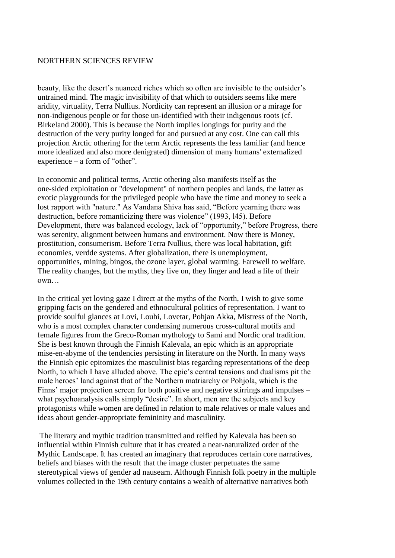beauty, like the desert's nuanced riches which so often are invisible to the outsider's untrained mind. The magic invisibility of that which to outsiders seems like mere aridity, virtuality, Terra Nullius. Nordicity can represent an illusion or a mirage for non-indigenous people or for those un-identified with their indigenous roots (cf. Birkeland 2000). This is because the North implies longings for purity and the destruction of the very purity longed for and pursued at any cost. One can call this projection Arctic othering for the term Arctic represents the less familiar (and hence more idealized and also more denigrated) dimension of many humans' externalized experience – a form of "other".

In economic and political terms, Arctic othering also manifests itself as the one-sided exploitation or "development" of northern peoples and lands, the latter as exotic playgrounds for the privileged people who have the time and money to seek a lost rapport with "nature." As Vandana Shiva has said, "Before yearning there was destruction, before romanticizing there was violence" (1993, l45). Before Development, there was balanced ecology, lack of "opportunity," before Progress, there was serenity, alignment between humans and environment. Now there is Money, prostitution, consumerism. Before Terra Nullius, there was local habitation, gift economies, verdde systems. After globalization, there is unemployment, opportunities, mining, bingos, the ozone layer, global warming. Farewell to welfare. The reality changes, but the myths, they live on, they linger and lead a life of their own…

In the critical yet loving gaze I direct at the myths of the North, I wish to give some gripping facts on the gendered and ethnocultural politics of representation. I want to provide soulful glances at Lovi, Louhi, Lovetar, Pohjan Akka, Mistress of the North, who is a most complex character condensing numerous cross-cultural motifs and female figures from the Greco-Roman mythology to Sami and Nordic oral tradition. She is best known through the Finnish Kalevala, an epic which is an appropriate mise-en-abyme of the tendencies persisting in literature on the North. In many ways the Finnish epic epitomizes the masculinist bias regarding representations of the deep North, to which I have alluded above. The epic's central tensions and dualisms pit the male heroes' land against that of the Northern matriarchy or Pohjola, which is the Finns' major projection screen for both positive and negative stirrings and impulses – what psychoanalysis calls simply "desire". In short, men are the subjects and key protagonists while women are defined in relation to male relatives or male values and ideas about gender-appropriate femininity and masculinity.

The literary and mythic tradition transmitted and reified by Kalevala has been so influential within Finnish culture that it has created a near-naturalized order of the Mythic Landscape. It has created an imaginary that reproduces certain core narratives, beliefs and biases with the result that the image cluster perpetuates the same stereotypical views of gender ad nauseam. Although Finnish folk poetry in the multiple volumes collected in the 19th century contains a wealth of alternative narratives both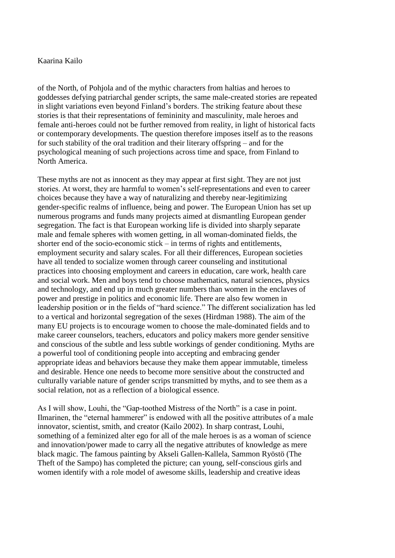of the North, of Pohjola and of the mythic characters from haltias and heroes to goddesses defying patriarchal gender scripts, the same male-created stories are repeated in slight variations even beyond Finland's borders. The striking feature about these stories is that their representations of femininity and masculinity, male heroes and female anti-heroes could not be further removed from reality, in light of historical facts or contemporary developments. The question therefore imposes itself as to the reasons for such stability of the oral tradition and their literary offspring – and for the psychological meaning of such projections across time and space, from Finland to North America.

These myths are not as innocent as they may appear at first sight. They are not just stories. At worst, they are harmful to women's self-representations and even to career choices because they have a way of naturalizing and thereby near-legitimizing gender-specific realms of influence, being and power. The European Union has set up numerous programs and funds many projects aimed at dismantling European gender segregation. The fact is that European working life is divided into sharply separate male and female spheres with women getting, in all woman-dominated fields, the shorter end of the socio-economic stick – in terms of rights and entitlements, employment security and salary scales. For all their differences, European societies have all tended to socialize women through career counseling and institutional practices into choosing employment and careers in education, care work, health care and social work. Men and boys tend to choose mathematics, natural sciences, physics and technology, and end up in much greater numbers than women in the enclaves of power and prestige in politics and economic life. There are also few women in leadership position or in the fields of "hard science." The different socialization has led to a vertical and horizontal segregation of the sexes (Hirdman 1988). The aim of the many EU projects is to encourage women to choose the male-dominated fields and to make career counselors, teachers, educators and policy makers more gender sensitive and conscious of the subtle and less subtle workings of gender conditioning. Myths are a powerful tool of conditioning people into accepting and embracing gender appropriate ideas and behaviors because they make them appear immutable, timeless and desirable. Hence one needs to become more sensitive about the constructed and culturally variable nature of gender scrips transmitted by myths, and to see them as a social relation, not as a reflection of a biological essence.

As I will show, Louhi, the "Gap-toothed Mistress of the North" is a case in point. Ilmarinen, the "eternal hammerer" is endowed with all the positive attributes of a male innovator, scientist, smith, and creator (Kailo 2002). In sharp contrast, Louhi, something of a feminized alter ego for all of the male heroes is as a woman of science and innovation/power made to carry all the negative attributes of knowledge as mere black magic. The famous painting by Akseli Gallen-Kallela, Sammon Ryöstö (The Theft of the Sampo) has completed the picture; can young, self-conscious girls and women identify with a role model of awesome skills, leadership and creative ideas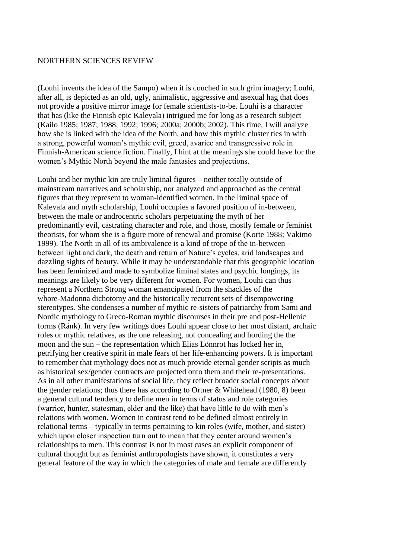(Louhi invents the idea of the Sampo) when it is couched in such grim imagery; Louhi, after all, is depicted as an old, ugly, animalistic, aggressive and asexual hag that does not provide a positive mirror image for female scientists-to-be. Louhi is a character that has (like the Finnish epic Kalevala) intrigued me for long as a research subject (Kailo 1985; 1987; 1988, 1992; 1996; 2000a; 2000b; 2002). This time, I will analyze how she is linked with the idea of the North, and how this mythic cluster ties in with a strong, powerful woman's mythic evil, greed, avarice and transgressive role in Finnish-American science fiction. Finally, I hint at the meanings she could have for the women's Mythic North beyond the male fantasies and projections.

Louhi and her mythic kin are truly liminal figures – neither totally outside of mainstream narratives and scholarship, nor analyzed and approached as the central figures that they represent to woman-identified women. In the liminal space of Kalevala and myth scholarship, Louhi occupies a favored position of in-between, between the male or androcentric scholars perpetuating the myth of her predominantly evil, castrating character and role, and those, mostly female or feminist theorists, for whom she is a figure more of renewal and promise (Korte 1988; Vakimo 1999). The North in all of its ambivalence is a kind of trope of the in-between – between light and dark, the death and return of Nature's cycles, arid landscapes and dazzling sights of beauty. While it may be understandable that this geographic location has been feminized and made to symbolize liminal states and psychic longings, its meanings are likely to be very different for women. For women, Louhi can thus represent a Northern Strong woman emancipated from the shackles of the whore-Madonna dichotomy and the historically recurrent sets of disempowering stereotypes. She condenses a number of mythic re-sisters of patriarchy from Sami and Nordic mythology to Greco-Roman mythic discourses in their pre and post-Hellenic forms (Ränk). In very few writings does Louhi appear close to her most distant, archaic roles or mythic relatives, as the one releasing, not concealing and hording the the moon and the sun – the representation which Elias Lönnrot has locked her in, petrifying her creative spirit in male fears of her life-enhancing powers. It is important to remember that mythology does not as much provide eternal gender scripts as much as historical sex/gender contracts are projected onto them and their re-presentations. As in all other manifestations of social life, they reflect broader social concepts about the gender relations; thus there has according to Ortner & Whitehead (1980, 8) been a general cultural tendency to define men in terms of status and role categories (warrior, hunter, statesman, elder and the like) that have little to do with men's relations with women. Women in contrast tend to be defined almost entirely in relational terms – typically in terms pertaining to kin roles (wife, mother, and sister) which upon closer inspection turn out to mean that they center around women's relationships to men. This contrast is not in most cases an explicit component of cultural thought but as feminist anthropologists have shown, it constitutes a very general feature of the way in which the categories of male and female are differently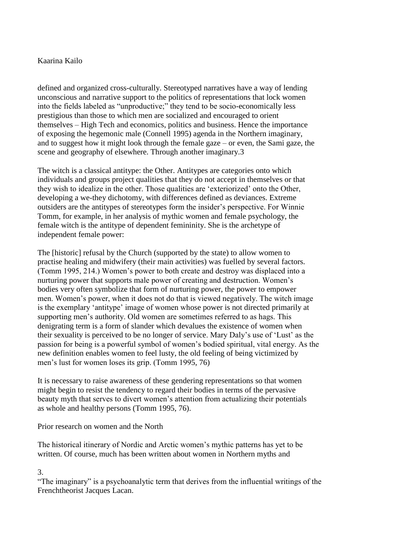defined and organized cross-culturally. Stereotyped narratives have a way of lending unconscious and narrative support to the politics of representations that lock women into the fields labeled as "unproductive;" they tend to be socio-economically less prestigious than those to which men are socialized and encouraged to orient themselves – High Tech and economics, politics and business. Hence the importance of exposing the hegemonic male (Connell 1995) agenda in the Northern imaginary, and to suggest how it might look through the female gaze – or even, the Sami gaze, the scene and geography of elsewhere. Through another imaginary.3

The witch is a classical antitype: the Other. Antitypes are categories onto which individuals and groups project qualities that they do not accept in themselves or that they wish to idealize in the other. Those qualities are 'exteriorized' onto the Other, developing a we-they dichotomy, with differences defined as deviances. Extreme outsiders are the antitypes of stereotypes form the insider's perspective. For Winnie Tomm, for example, in her analysis of mythic women and female psychology, the female witch is the antitype of dependent femininity. She is the archetype of independent female power:

The [historic] refusal by the Church (supported by the state) to allow women to practise healing and midwifery (their main activities) was fuelled by several factors. (Tomm 1995, 214.) Women's power to both create and destroy was displaced into a nurturing power that supports male power of creating and destruction. Women's bodies very often symbolize that form of nurturing power, the power to empower men. Women's power, when it does not do that is viewed negatively. The witch image is the exemplary 'antitype' image of women whose power is not directed primarily at supporting men's authority. Old women are sometimes referred to as hags. This denigrating term is a form of slander which devalues the existence of women when their sexuality is perceived to be no longer of service. Mary Daly's use of 'Lust' as the passion for being is a powerful symbol of women's bodied spiritual, vital energy. As the new definition enables women to feel lusty, the old feeling of being victimized by men's lust for women loses its grip. (Tomm 1995, 76)

It is necessary to raise awareness of these gendering representations so that women might begin to resist the tendency to regard their bodies in terms of the pervasive beauty myth that serves to divert women's attention from actualizing their potentials as whole and healthy persons (Tomm 1995, 76).

Prior research on women and the North

The historical itinerary of Nordic and Arctic women's mythic patterns has yet to be written. Of course, much has been written about women in Northern myths and

# 3.

"The imaginary" is a psychoanalytic term that derives from the influential writings of the Frenchtheorist Jacques Lacan.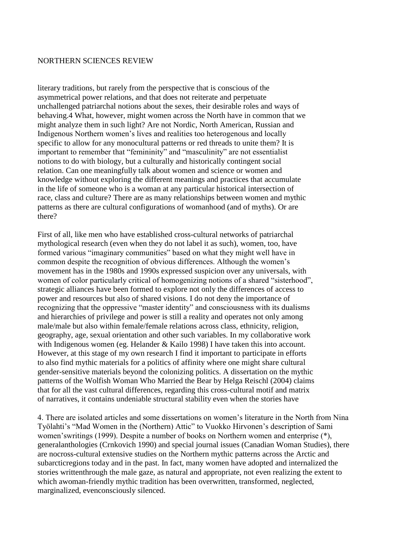literary traditions, but rarely from the perspective that is conscious of the asymmetrical power relations, and that does not reiterate and perpetuate unchallenged patriarchal notions about the sexes, their desirable roles and ways of behaving.4 What, however, might women across the North have in common that we might analyze them in such light? Are not Nordic, North American, Russian and Indigenous Northern women's lives and realities too heterogenous and locally specific to allow for any monocultural patterns or red threads to unite them? It is important to remember that "femininity" and "masculinity" are not essentialist notions to do with biology, but a culturally and historically contingent social relation. Can one meaningfully talk about women and science or women and knowledge without exploring the different meanings and practices that accumulate in the life of someone who is a woman at any particular historical intersection of race, class and culture? There are as many relationships between women and mythic patterns as there are cultural configurations of womanhood (and of myths). Or are there?

First of all, like men who have established cross-cultural networks of patriarchal mythological research (even when they do not label it as such), women, too, have formed various "imaginary communities" based on what they might well have in common despite the recognition of obvious differences. Although the women's movement has in the 1980s and 1990s expressed suspicion over any universals, with women of color particularly critical of homogenizing notions of a shared "sisterhood", strategic alliances have been formed to explore not only the differences of access to power and resources but also of shared visions. I do not deny the importance of recognizing that the oppressive "master identity" and consciousness with its dualisms and hierarchies of privilege and power is still a reality and operates not only among male/male but also within female/female relations across class, ethnicity, religion, geography, age, sexual orientation and other such variables. In my collaborative work with Indigenous women (eg. Helander & Kailo 1998) I have taken this into account. However, at this stage of my own research I find it important to participate in efforts to also find mythic materials for a politics of affinity where one might share cultural gender-sensitive materials beyond the colonizing politics. A dissertation on the mythic patterns of the Wolfish Woman Who Married the Bear by Helga Reischl (2004) claims that for all the vast cultural differences, regarding this cross-cultural motif and matrix of narratives, it contains undeniable structural stability even when the stories have

4. There are isolated articles and some dissertations on women's literature in the North from Nina Työlahti's "Mad Women in the (Northern) Attic" to Vuokko Hirvonen's description of Sami women'swritings (1999). Despite a number of books on Northern women and enterprise (\*), generalanthologies (Crnkovich 1990) and special journal issues (Canadian Woman Studies), there are nocross-cultural extensive studies on the Northern mythic patterns across the Arctic and subarcticregions today and in the past. In fact, many women have adopted and internalized the stories writtenthrough the male gaze, as natural and appropriate, not even realizing the extent to which awoman-friendly mythic tradition has been overwritten, transformed, neglected, marginalized, evenconsciously silenced.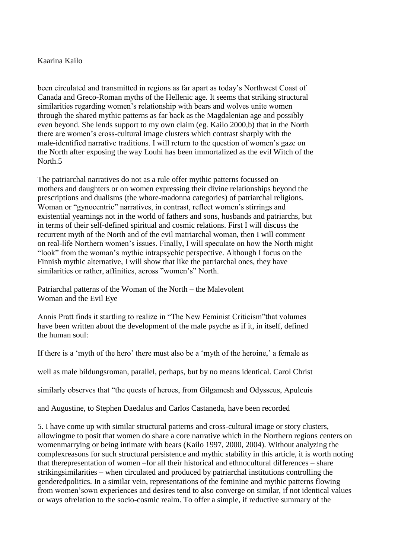been circulated and transmitted in regions as far apart as today's Northwest Coast of Canada and Greco-Roman myths of the Hellenic age. It seems that striking structural similarities regarding women's relationship with bears and wolves unite women through the shared mythic patterns as far back as the Magdalenian age and possibly even beyond. She lends support to my own claim (eg. Kailo 2000,b) that in the North there are women's cross-cultural image clusters which contrast sharply with the male-identified narrative traditions. I will return to the question of women's gaze on the North after exposing the way Louhi has been immortalized as the evil Witch of the North.5

The patriarchal narratives do not as a rule offer mythic patterns focussed on mothers and daughters or on women expressing their divine relationships beyond the prescriptions and dualisms (the whore-madonna categories) of patriarchal religions. Woman or "gynocentric" narratives, in contrast, reflect women's stirrings and existential yearnings not in the world of fathers and sons, husbands and patriarchs, but in terms of their self-defined spiritual and cosmic relations. First I will discuss the recurrent myth of the North and of the evil matriarchal woman, then I will comment on real-life Northern women's issues. Finally, I will speculate on how the North might "look" from the woman's mythic intrapsychic perspective. Although I focus on the Finnish mythic alternative, I will show that like the patriarchal ones, they have similarities or rather, affinities, across "women's" North.

Patriarchal patterns of the Woman of the North – the Malevolent Woman and the Evil Eye

Annis Pratt finds it startling to realize in "The New Feminist Criticism"that volumes have been written about the development of the male psyche as if it, in itself, defined the human soul:

If there is a 'myth of the hero' there must also be a 'myth of the heroine,' a female as

well as male bildungsroman, parallel, perhaps, but by no means identical. Carol Christ

similarly observes that "the quests of heroes, from Gilgamesh and Odysseus, Apuleuis

and Augustine, to Stephen Daedalus and Carlos Castaneda, have been recorded

5. I have come up with similar structural patterns and cross-cultural image or story clusters, allowingme to posit that women do share a core narrative which in the Northern regions centers on womenmarrying or being intimate with bears (Kailo 1997, 2000, 2004). Without analyzing the complexreasons for such structural persistence and mythic stability in this article, it is worth noting that therepresentation of women –for all their historical and ethnocultural differences – share strikingsimilarities – when circulated and produced by patriarchal institutions controlling the genderedpolitics. In a similar vein, representations of the feminine and mythic patterns flowing from women'sown experiences and desires tend to also converge on similar, if not identical values or ways ofrelation to the socio-cosmic realm. To offer a simple, if reductive summary of the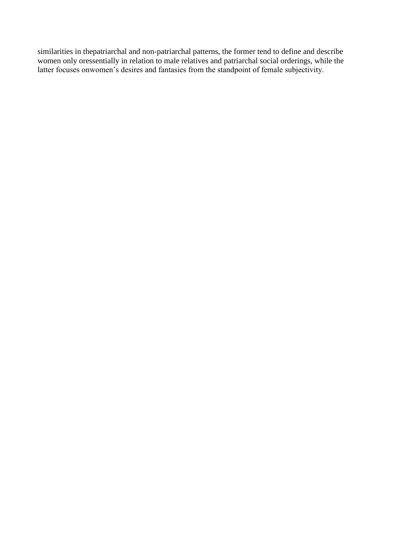similarities in thepatriarchal and non-patriarchal patterns, the former tend to define and describe women only oressentially in relation to male relatives and patriarchal social orderings, while the latter focuses onwomen's desires and fantasies from the standpoint of female subjectivity.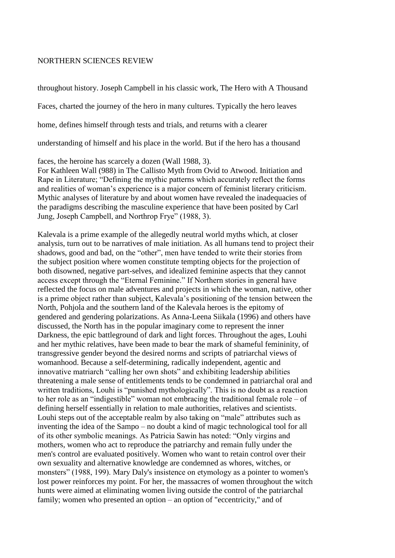throughout history. Joseph Campbell in his classic work, The Hero with A Thousand

Faces, charted the journey of the hero in many cultures. Typically the hero leaves

home, defines himself through tests and trials, and returns with a clearer

understanding of himself and his place in the world. But if the hero has a thousand

faces, the heroine has scarcely a dozen (Wall 1988, 3).

For Kathleen Wall (988) in The Callisto Myth from Ovid to Atwood. Initiation and Rape in Literature; "Defining the mythic patterns which accurately reflect the forms and realities of woman's experience is a major concern of feminist literary criticism. Mythic analyses of literature by and about women have revealed the inadequacies of the paradigms describing the masculine experience that have been posited by Carl Jung, Joseph Campbell, and Northrop Frye" (1988, 3).

Kalevala is a prime example of the allegedly neutral world myths which, at closer analysis, turn out to be narratives of male initiation. As all humans tend to project their shadows, good and bad, on the "other", men have tended to write their stories from the subject position where women constitute tempting objects for the projection of both disowned, negative part-selves, and idealized feminine aspects that they cannot access except through the "Eternal Feminine." If Northern stories in general have reflected the focus on male adventures and projects in which the woman, native, other is a prime object rather than subject, Kalevala's positioning of the tension between the North, Pohjola and the southern land of the Kalevala heroes is the epitomy of gendered and gendering polarizations. As Anna-Leena Siikala (1996) and others have discussed, the North has in the popular imaginary come to represent the inner Darkness, the epic battleground of dark and light forces. Throughout the ages, Louhi and her mythic relatives, have been made to bear the mark of shameful femininity, of transgressive gender beyond the desired norms and scripts of patriarchal views of womanhood. Because a self-determining, radically independent, agentic and innovative matriarch "calling her own shots" and exhibiting leadership abilities threatening a male sense of entitlements tends to be condemned in patriarchal oral and written traditions, Louhi is "punished mythologically". This is no doubt as a reaction to her role as an "indigestible" woman not embracing the traditional female role – of defining herself essentially in relation to male authorities, relatives and scientists. Louhi steps out of the acceptable realm by also taking on "male" attributes such as inventing the idea of the Sampo – no doubt a kind of magic technological tool for all of its other symbolic meanings. As Patricia Sawin has noted: "Only virgins and mothers, women who act to reproduce the patriarchy and remain fully under the men's control are evaluated positively. Women who want to retain control over their own sexuality and alternative knowledge are condemned as whores, witches, or monsters" (1988, 199). Mary Daly's insistence on etymology as a pointer to women's lost power reinforces my point. For her, the massacres of women throughout the witch hunts were aimed at eliminating women living outside the control of the patriarchal family; women who presented an option – an option of "eccentricity," and of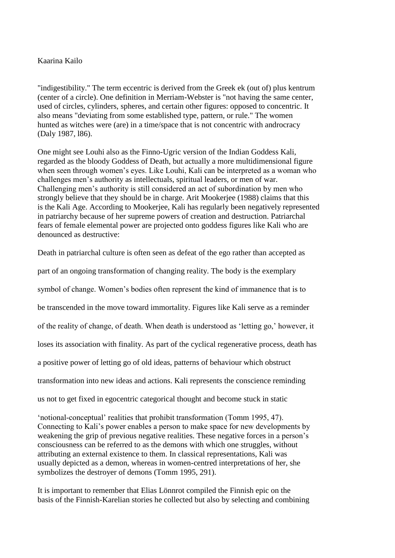"indigestibility." The term eccentric is derived from the Greek ek (out of) plus kentrum (center of a circle). One definition in Merriam-Webster is "not having the same center, used of circles, cylinders, spheres, and certain other figures: opposed to concentric. It also means "deviating from some established type, pattern, or rule." The women hunted as witches were (are) in a time/space that is not concentric with androcracy (Daly 1987, l86).

One might see Louhi also as the Finno-Ugric version of the Indian Goddess Kali, regarded as the bloody Goddess of Death, but actually a more multidimensional figure when seen through women's eyes. Like Louhi, Kali can be interpreted as a woman who challenges men's authority as intellectuals, spiritual leaders, or men of war. Challenging men's authority is still considered an act of subordination by men who strongly believe that they should be in charge. Arit Mookerjee (1988) claims that this is the Kali Age. According to Mookerjee, Kali has regularly been negatively represented in patriarchy because of her supreme powers of creation and destruction. Patriarchal fears of female elemental power are projected onto goddess figures like Kali who are denounced as destructive:

Death in patriarchal culture is often seen as defeat of the ego rather than accepted as

part of an ongoing transformation of changing reality. The body is the exemplary

symbol of change. Women's bodies often represent the kind of immanence that is to

be transcended in the move toward immortality. Figures like Kali serve as a reminder

of the reality of change, of death. When death is understood as 'letting go,' however, it

loses its association with finality. As part of the cyclical regenerative process, death has

a positive power of letting go of old ideas, patterns of behaviour which obstruct

transformation into new ideas and actions. Kali represents the conscience reminding

us not to get fixed in egocentric categorical thought and become stuck in static

'notional-conceptual' realities that prohibit transformation (Tomm 1995, 47). Connecting to Kali's power enables a person to make space for new developments by weakening the grip of previous negative realities. These negative forces in a person's consciousness can be referred to as the demons with which one struggles, without attributing an external existence to them. In classical representations, Kali was usually depicted as a demon, whereas in women-centred interpretations of her, she symbolizes the destroyer of demons (Tomm 1995, 291).

It is important to remember that Elias Lönnrot compiled the Finnish epic on the basis of the Finnish-Karelian stories he collected but also by selecting and combining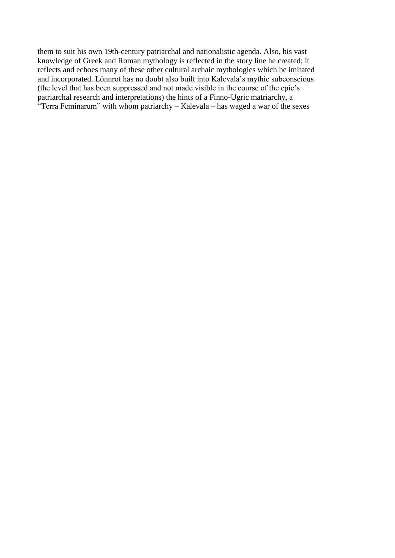them to suit his own 19th-century patriarchal and nationalistic agenda. Also, his vast knowledge of Greek and Roman mythology is reflected in the story line he created; it reflects and echoes many of these other cultural archaic mythologies which he imitated and incorporated. Lönnrot has no doubt also built into Kalevala's mythic subconscious (the level that has been suppressed and not made visible in the course of the epic's patriarchal research and interpretations) the hints of a Finno-Ugric matriarchy, a "Terra Feminarum" with whom patriarchy – Kalevala – has waged a war of the sexes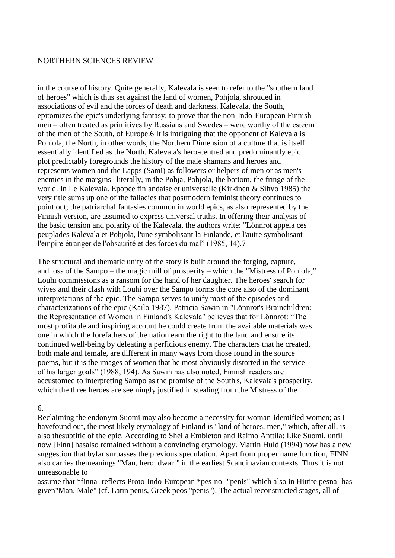in the course of history. Quite generally, Kalevala is seen to refer to the "southern land of heroes" which is thus set against the land of women, Pohjola, shrouded in associations of evil and the forces of death and darkness. Kalevala, the South, epitomizes the epic's underlying fantasy; to prove that the non-Indo-European Finnish men – often treated as primitives by Russians and Swedes – were worthy of the esteem of the men of the South, of Europe.6 It is intriguing that the opponent of Kalevala is Pohjola, the North, in other words, the Northern Dimension of a culture that is itself essentially identified as the North. Kalevala's hero-centred and predominantly epic plot predictably foregrounds the history of the male shamans and heroes and represents women and the Lapps (Sami) as followers or helpers of men or as men's enemies in the margins--literally, in the Pohja, Pohjola, the bottom, the fringe of the world. In Le Kalevala. Epopée finlandaise et universelle (Kirkinen & Sihvo 1985) the very title sums up one of the fallacies that postmodern feminist theory continues to point out; the patriarchal fantasies common in world epics, as also represented by the Finnish version, are assumed to express universal truths. In offering their analysis of the basic tension and polarity of the Kalevala, the authors write: "Lönnrot appela ces peuplades Kalevala et Pohjola, l'une symbolisant la Finlande, et l'autre symbolisant l'empire étranger de l'obscurité et des forces du mal" (1985, 14).7

The structural and thematic unity of the story is built around the forging, capture, and loss of the Sampo – the magic mill of prosperity – which the "Mistress of Pohjola," Louhi commissions as a ransom for the hand of her daughter. The heroes' search for wives and their clash with Louhi over the Sampo forms the core also of the dominant interpretations of the epic. The Sampo serves to unify most of the episodes and characterizations of the epic (Kailo 1987). Patricia Sawin in "Lönnrot's Brainchildren: the Representation of Women in Finland's Kalevala" believes that for Lönnrot: "The most profitable and inspiring account he could create from the available materials was one in which the forefathers of the nation earn the right to the land and ensure its continued well-being by defeating a perfidious enemy. The characters that he created, both male and female, are different in many ways from those found in the source poems, but it is the images of women that he most obviously distorted in the service of his larger goals" (1988, 194). As Sawin has also noted, Finnish readers are accustomed to interpreting Sampo as the promise of the South's, Kalevala's prosperity, which the three heroes are seemingly justified in stealing from the Mistress of the

### 6.

Reclaiming the endonym Suomi may also become a necessity for woman-identified women; as I havefound out, the most likely etymology of Finland is "land of heroes, men," which, after all, is also thesubtitle of the epic. According to Sheila Embleton and Raimo Anttila: Like Suomi, until now [Finn] hasalso remained without a convincing etymology. Martin Huld (1994) now has a new suggestion that byfar surpasses the previous speculation. Apart from proper name function, FINN also carries themeanings "Man, hero; dwarf" in the earliest Scandinavian contexts. Thus it is not unreasonable to

assume that \*finna- reflects Proto-Indo-European \*pes-no- "penis" which also in Hittite pesna- has given"Man, Male" (cf. Latin penis, Greek peos "penis"). The actual reconstructed stages, all of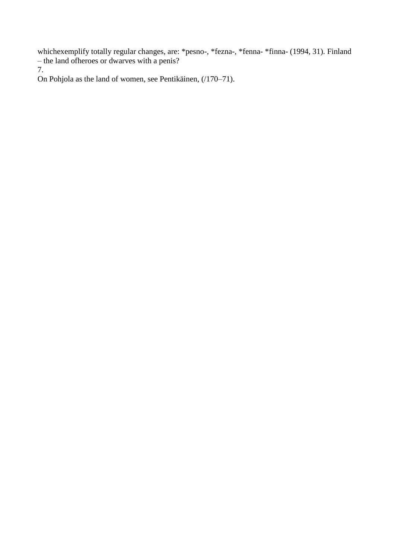whichexemplify totally regular changes, are: \*pesno-, \*fezna-, \*fenna- \*finna- (1994, 31). Finland – the land ofheroes or dwarves with a penis?

7.

On Pohjola as the land of women, see Pentikäinen, (/170–71).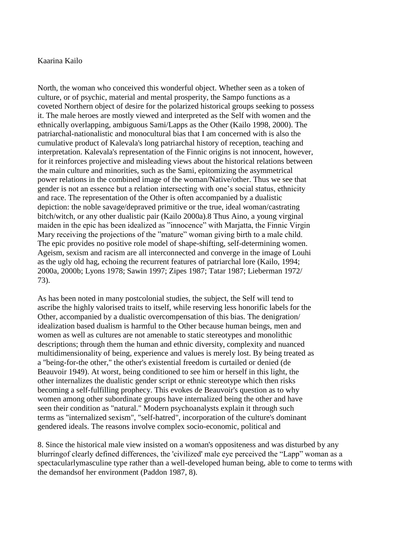North, the woman who conceived this wonderful object. Whether seen as a token of culture, or of psychic, material and mental prosperity, the Sampo functions as a coveted Northern object of desire for the polarized historical groups seeking to possess it. The male heroes are mostly viewed and interpreted as the Self with women and the ethnically overlapping, ambiguous Sami/Lapps as the Other (Kailo 1998, 2000). The patriarchal-nationalistic and monocultural bias that I am concerned with is also the cumulative product of Kalevala's long patriarchal history of reception, teaching and interpretation. Kalevala's representation of the Finnic origins is not innocent, however, for it reinforces projective and misleading views about the historical relations between the main culture and minorities, such as the Sami, epitomizing the asymmetrical power relations in the combined image of the woman/Native/other. Thus we see that gender is not an essence but a relation intersecting with one's social status, ethnicity and race. The representation of the Other is often accompanied by a dualistic depiction: the noble savage/depraved primitive or the true, ideal woman/castrating bitch/witch, or any other dualistic pair (Kailo 2000a).8 Thus Aino, a young virginal maiden in the epic has been idealized as "innocence" with Marjatta, the Finnic Virgin Mary receiving the projections of the "mature" woman giving birth to a male child. The epic provides no positive role model of shape-shifting, self-determining women. Ageism, sexism and racism are all interconnected and converge in the image of Louhi as the ugly old hag, echoing the recurrent features of patriarchal lore (Kailo, 1994; 2000a, 2000b; Lyons 1978; Sawin 1997; Zipes 1987; Tatar 1987; Lieberman 1972/ 73).

As has been noted in many postcolonial studies, the subject, the Self will tend to ascribe the highly valorised traits to itself, while reserving less honorific labels for the Other, accompanied by a dualistic overcompensation of this bias. The denigration/ idealization based dualism is harmful to the Other because human beings, men and women as well as cultures are not amenable to static stereotypes and monolithic descriptions; through them the human and ethnic diversity, complexity and nuanced multidimensionality of being, experience and values is merely lost. By being treated as a "being-for-the other," the other's existential freedom is curtailed or denied (de Beauvoir 1949). At worst, being conditioned to see him or herself in this light, the other internalizes the dualistic gender script or ethnic stereotype which then risks becoming a self-fulfilling prophecy. This evokes de Beauvoir's question as to why women among other subordinate groups have internalized being the other and have seen their condition as "natural." Modern psychoanalysts explain it through such terms as "internalized sexism", "self-hatred", incorporation of the culture's dominant gendered ideals. The reasons involve complex socio-economic, political and

8. Since the historical male view insisted on a woman's oppositeness and was disturbed by any blurringof clearly defined differences, the 'civilized' male eye perceived the "Lapp" woman as a spectacularlymasculine type rather than a well-developed human being, able to come to terms with the demandsof her environment (Paddon 1987, 8).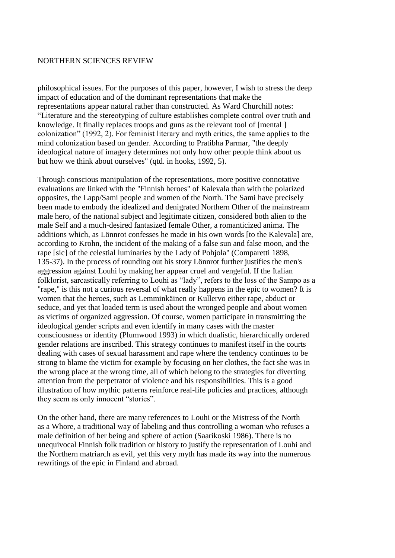philosophical issues. For the purposes of this paper, however, I wish to stress the deep impact of education and of the dominant representations that make the representations appear natural rather than constructed. As Ward Churchill notes: "Literature and the stereotyping of culture establishes complete control over truth and knowledge. It finally replaces troops and guns as the relevant tool of [mental ] colonization" (1992, 2). For feminist literary and myth critics, the same applies to the mind colonization based on gender. According to Pratibha Parmar, "the deeply ideological nature of imagery determines not only how other people think about us but how we think about ourselves" (qtd. in hooks, 1992, 5).

Through conscious manipulation of the representations, more positive connotative evaluations are linked with the "Finnish heroes" of Kalevala than with the polarized opposites, the Lapp/Sami people and women of the North. The Sami have precisely been made to embody the idealized and denigrated Northern Other of the mainstream male hero, of the national subject and legitimate citizen, considered both alien to the male Self and a much-desired fantasized female Other, a romanticized anima. The additions which, as Lönnrot confesses he made in his own words [to the Kalevala] are, according to Krohn, the incident of the making of a false sun and false moon, and the rape [sic] of the celestial luminaries by the Lady of Pohjola" (Comparetti 1898, 135-37). In the process of rounding out his story Lönnrot further justifies the men's aggression against Louhi by making her appear cruel and vengeful. If the Italian folklorist, sarcastically referring to Louhi as "lady", refers to the loss of the Sampo as a "rape," is this not a curious reversal of what really happens in the epic to women? It is women that the heroes, such as Lemminkäinen or Kullervo either rape, abduct or seduce, and yet that loaded term is used about the wronged people and about women as victims of organized aggression. Of course, women participate in transmitting the ideological gender scripts and even identify in many cases with the master consciousness or identity (Plumwood 1993) in which dualistic, hierarchically ordered gender relations are inscribed. This strategy continues to manifest itself in the courts dealing with cases of sexual harassment and rape where the tendency continues to be strong to blame the victim for example by focusing on her clothes, the fact she was in the wrong place at the wrong time, all of which belong to the strategies for diverting attention from the perpetrator of violence and his responsibilities. This is a good illustration of how mythic patterns reinforce real-life policies and practices, although they seem as only innocent "stories".

On the other hand, there are many references to Louhi or the Mistress of the North as a Whore, a traditional way of labeling and thus controlling a woman who refuses a male definition of her being and sphere of action (Saarikoski 1986). There is no unequivocal Finnish folk tradition or history to justify the representation of Louhi and the Northern matriarch as evil, yet this very myth has made its way into the numerous rewritings of the epic in Finland and abroad.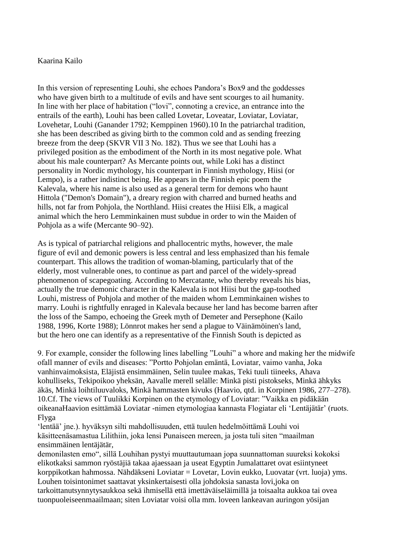In this version of representing Louhi, she echoes Pandora's Box9 and the goddesses who have given birth to a multitude of evils and have sent scourges to ail humanity. In line with her place of habitation ("lovi", connoting a crevice, an entrance into the entrails of the earth), Louhi has been called Lovetar, Loveatar, Loviatar, Loviatar, Lovehetar, Louhi (Ganander 1792; Kemppinen 1960).10 In the patriarchal tradition, she has been described as giving birth to the common cold and as sending freezing breeze from the deep (SKVR VII 3 No. 182). Thus we see that Louhi has a privileged position as the embodiment of the North in its most negative pole. What about his male counterpart? As Mercante points out, while Loki has a distinct personality in Nordic mythology, his counterpart in Finnish mythology, Hiisi (or Lempo), is a rather indistinct being. He appears in the Finnish epic poem the Kalevala, where his name is also used as a general term for demons who haunt Hittola ("Demon's Domain"), a dreary region with charred and burned heaths and hills, not far from Pohjola, the Northland. Hiisi creates the Hiisi Elk, a magical animal which the hero Lemminkainen must subdue in order to win the Maiden of Pohjola as a wife (Mercante 90–92).

As is typical of patriarchal religions and phallocentric myths, however, the male figure of evil and demonic powers is less central and less emphasized than his female counterpart. This allows the tradition of woman-blaming, particularly that of the elderly, most vulnerable ones, to continue as part and parcel of the widely-spread phenomenon of scapegoating. According to Mercatante, who thereby reveals his bias, actually the true demonic character in the Kalevala is not Hiisi but the gap-toothed Louhi, mistress of Pohjola and mother of the maiden whom Lemminkainen wishes to marry. Louhi is rightfully enraged in Kalevala because her land has become barren after the loss of the Sampo, echoeing the Greek myth of Demeter and Persephone (Kailo 1988, 1996, Korte 1988); Lönnrot makes her send a plague to Väinämöinen's land, but the hero one can identify as a representative of the Finnish South is depicted as

9. For example, consider the following lines labelling "Louhi" a whore and making her the midwife ofall manner of evils and diseases: "Portto Pohjolan emäntä, Loviatar, vaimo vanha, Joka vanhinvaimoksista, Eläjistä ensimmäinen, Selin tuulee makas, Teki tuuli tiineeks, Ahava kohulliseks, Tekipoikoo yheksän, Aavalle merell selälle: Minkä pisti pistokseks, Minkä ähkyks äkäs, Minkä loihtiluuvaloks, Minkä hammasten kivuks (Haavio, qtd. in Korpinen 1986, 277–278). 10.Cf. The views of Tuulikki Korpinen on the etymology of Loviatar: "Vaikka en pidäkään oikeanaHaavion esittämää Loviatar -nimen etymologiaa kannasta Flogiatar eli 'Lentäjätär' (ruots. Flyga

'lentää' jne.). hyväksyn silti mahdollisuuden, että tuulen hedelmöittämä Louhi voi käsitteenäsamastua Lilithiin, joka lensi Punaiseen mereen, ja josta tuli siten "maailman ensimmäinen lentäjätär,

demonilasten emo", sillä Louhihan pystyi muuttautumaan jopa suunnattoman suureksi kokoksi elikotkaksi sammon ryöstäjiä takaa ajaessaan ja useat Egyptin Jumalattaret ovat esiintyneet korppikotkan hahmossa. Nähdäkseni Loviatar = Lovetar, Lovin eukko, Luovatar (vrt. luoja) yms. Louhen toisintonimet saattavat yksinkertaisesti olla johdoksia sanasta lovi,joka on tarkoittanutsynnytysaukkoa sekä ihmisellä että imettäväiseläimillä ja toisaalta aukkoa tai ovea tuonpuoleiseenmaailmaan; siten Loviatar voisi olla mm. loveen lankeavan auringon yösijan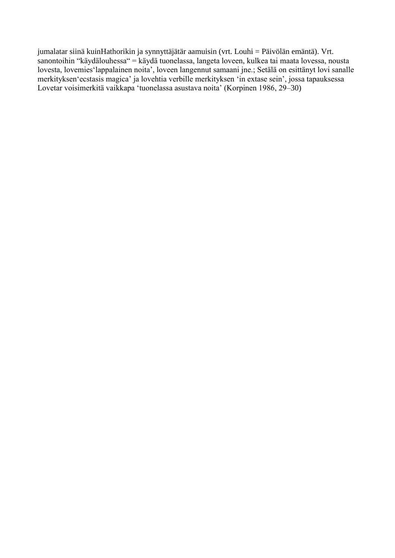jumalatar siinä kuinHathorikin ja synnyttäjätär aamuisin (vrt. Louhi = Päivölän emäntä). Vrt. sanontoihin "käydälouhessa" = käydä tuonelassa, langeta loveen, kulkea tai maata lovessa, nousta lovesta, lovemies'lappalainen noita', loveen langennut samaani jne.; Setälä on esittänyt lovi sanalle merkityksen'ecstasis magica' ja lovehtia verbille merkityksen 'in extase sein', jossa tapauksessa Lovetar voisimerkitä vaikkapa 'tuonelassa asustava noita' (Korpinen 1986, 29–30)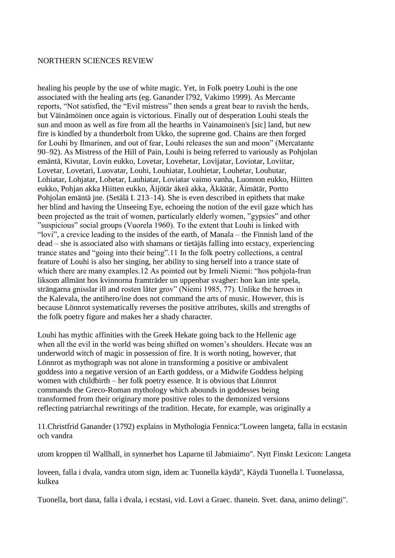healing his people by the use of white magic. Yet, in Folk poetry Louhi is the one associated with the healing arts (eg. Ganander l792, Vakimo 1999). As Mercante reports, "Not satisfied, the "Evil mistress" then sends a great bear to ravish the herds, but Väinämöinen once again is victorious. Finally out of desperation Louhi steals the sun and moon as well as fire from all the hearths in Vainamoinen's [sic] land, but new fire is kindled by a thunderbolt from Ukko, the supreme god. Chains are then forged for Louhi by Ilmarinen, and out of fear, Louhi releases the sun and moon" (Mercatante 90–92). As Mistress of the Hill of Pain, Louhi is being referred to variously as Pohjolan emäntä, Kivutar, Lovin eukko, Lovetar, Lovehetar, Lovijatar, Loviotar, Loviitar, Lovetar, Lovetari, Luovatar, Louhi, Louhiatar, Louhietar, Louhetar, Louhutar, Lohiatar, Lohjatar, Lohetar, Lauhiatar, Loviatar vaimo vanha, Luonnon eukko, Hiitten eukko, Pohjan akka Hiitten eukko, Äijötär äkeä akka, Äkäätär, Äimätär, Portto Pohjolan emäntä jne. (Setälä I. 213–14). She is even described in epithets that make her blind and having the Unseeing Eye, echoeing the notion of the evil gaze which has been projected as the trait of women, particularly elderly women, "gypsies" and other "suspicious" social groups (Vuorela 1960). To the extent that Louhi is linked with "lovi", a crevice leading to the insides of the earth, of Manala – the Finnish land of the dead – she is associated also with shamans or tietäjäs falling into ecstacy, experiencing trance states and "going into their being".11 In the folk poetry collections, a central feature of Louhi is also her singing, her ability to sing herself into a trance state of which there are many examples.12 As pointed out by Irmeli Niemi: "hos pohjola-frun liksom allmänt hos kvinnorna framträder un uppenbar svagher: hon kan inte spela, strängarna gnisslar ill and rosten låter grov" (Niemi 1985, 77). Unlike the heroes in the Kalevala, the antihero/ine does not command the arts of music. However, this is because Lönnrot systematically reverses the positive attributes, skills and strengths of the folk poetry figure and makes her a shady character.

Louhi has mythic affinities with the Greek Hekate going back to the Hellenic age when all the evil in the world was being shifted on women's shoulders. Hecate was an underworld witch of magic in possession of fire. It is worth noting, however, that Lönnrot as mythograph was not alone in transforming a positive or ambivalent goddess into a negative version of an Earth goddess, or a Midwife Goddess helping women with childbirth – her folk poetry essence. It is obvious that Lönnrot commands the Greco-Roman mythology which abounds in goddesses being transformed from their originary more positive roles to the demonized versions reflecting patriarchal rewritings of the tradition. Hecate, for example, was originally a

11.Christfrid Ganander (1792) explains in Mythologia Fennica:"Loween langeta, falla in ecstasin och vandra

utom kroppen til Wallhall, in synnerhet hos Laparne til Jabmiaimo". Nytt Finskt Lexicon: Langeta

loveen, falla i dvala, vandra utom sign, idem ac Tuonella käydä", Käydä Tuonella l. Tuonelassa, kulkea

Tuonella, bort dana, falla i dvala, i ecstasi, vid. Lovi a Graec. thanein. Svet. dana, animo delingi".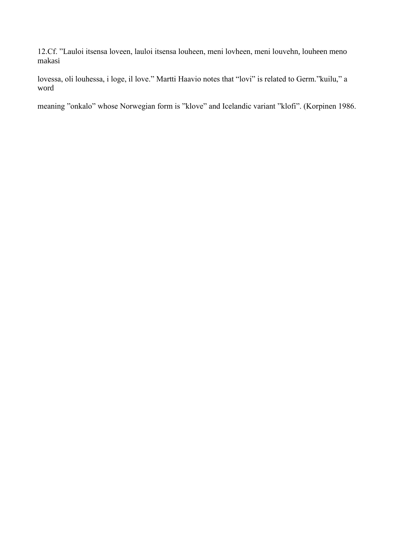12.Cf. "Lauloi itsensa loveen, lauloi itsensa louheen, meni lovheen, meni louvehn, louheen meno makasi

lovessa, oli louhessa, i loge, il love." Martti Haavio notes that "lovi" is related to Germ."kuilu," a word

meaning "onkalo" whose Norwegian form is "klove" and Icelandic variant "klofi". (Korpinen 1986.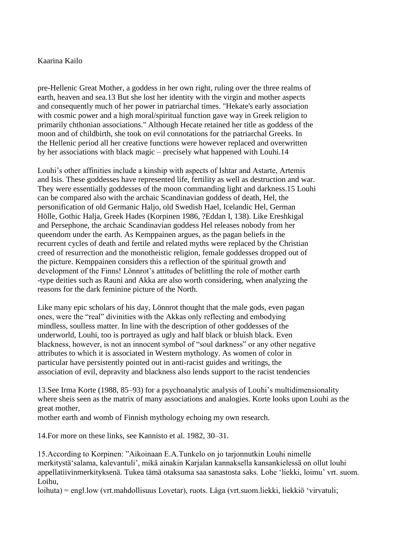pre-Hellenic Great Mother, a goddess in her own right, ruling over the three realms of earth, heaven and sea.13 But she lost her identity with the virgin and mother aspects and consequently much of her power in patriarchal times. "Hekate's early association with cosmic power and a high moral/spiritual function gave way in Greek religion to primarily chthonian associations." Although Hecate retained her title as goddess of the moon and of childbirth, she took on evil connotations for the patriarchal Greeks. In the Hellenic period all her creative functions were however replaced and overwritten by her associations with black magic – precisely what happened with Louhi.14

Louhi's other affinities include a kinship with aspects of Ishtar and Astarte, Artemis and Isis. These goddesses have represented life, fertility as well as destruction and war. They were essentially goddesses of the moon commanding light and darkness.15 Louhi can be compared also with the archaic Scandinavian goddess of death, Hel, the personification of old Germanic Haljo, old Swedish Hael, Icelandic Hel, German Hölle, Gothic Halja, Greek Hades (Korpinen 1986, ?Eddan I, 138). Like Ereshkigal and Persephone, the archaic Scandinavian goddess Hel releases nobody from her queendom under the earth. As Kemppainen argues, as the pagan beliefs in the recurrent cycles of death and fertile and related myths were replaced by the Christian creed of resurrection and the monotheistic religion, female goddesses dropped out of the picture. Kemppainen considers this a reflection of the spiritual growth and development of the Finns! Lönnrot's attitudes of belittling the role of mother earth -type deities such as Rauni and Akka are also worth considering, when analyzing the reasons for the dark feminine picture of the North.

Like many epic scholars of his day, Lönnrot thought that the male gods, even pagan ones, were the "real" divinities with the Akkas only reflecting and embodying mindless, soulless matter. In line with the description of other goddesses of the underworld, Louhi, too is portrayed as ugly and half black or bluish black. Even blackness, however, is not an innocent symbol of "soul darkness" or any other negative attributes to which it is associated in Western mythology. As women of color in particular have persistently pointed out in anti-racist guides and writings, the association of evil, depravity and blackness also lends support to the racist tendencies

13.See Irma Korte (1988, 85–93) for a psychoanalytic analysis of Louhi's multidimensionality where sheis seen as the matrix of many associations and analogies. Korte looks upon Louhi as the great mother,

mother earth and womb of Finnish mythology echoing my own research.

14.For more on these links, see Kannisto et al. 1982, 30–31.

15.According to Korpinen: "Aikoinaan E.A.Tunkelo on jo tarjonnutkin Louhi nimelle merkitystä'salama, kalevantuli', mikä ainakin Karjalan kannaksella kansankielessä on ollut louhi appellatiivinmerkityksenä. Tukea tämä otaksuma saa sanastosta saks. Lohe 'liekki, loimu' vrt. suom. Loihu,

loihuta) = engl.low (vrt.mahdollisuus Lovetar), ruots. Låga (vrt.suom.liekki, liekkiö 'virvatuli;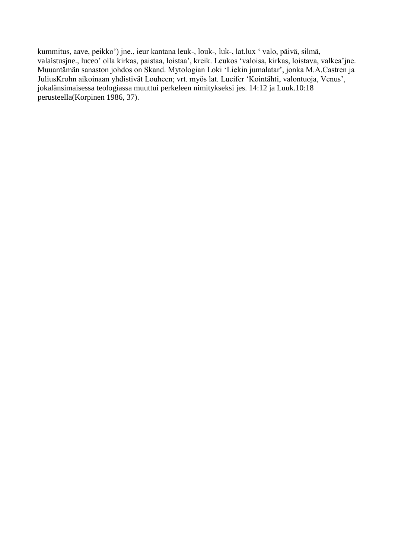kummitus, aave, peikko') jne., ieur kantana leuk-, louk-, luk-, lat.lux ' valo, päivä, silmä, valaistusjne., luceo' olla kirkas, paistaa, loistaa', kreik. Leukos 'valoisa, kirkas, loistava, valkea'jne. Muuantämän sanaston johdos on Skand. Mytologian Loki 'Liekin jumalatar', jonka M.A.Castren ja JuliusKrohn aikoinaan yhdistivät Louheen; vrt. myös lat. Lucifer 'Kointähti, valontuoja, Venus', jokalänsimaisessa teologiassa muuttui perkeleen nimitykseksi jes. 14:12 ja Luuk.10:18 perusteella(Korpinen 1986, 37).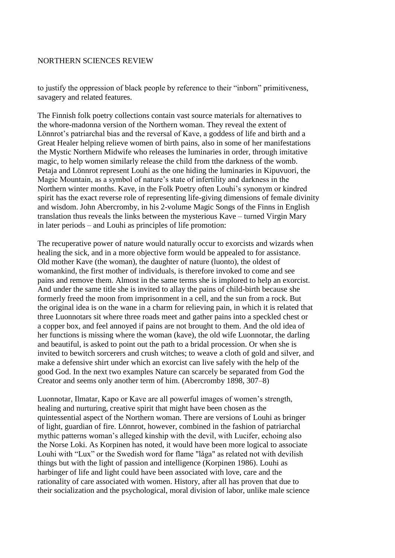to justify the oppression of black people by reference to their "inborn" primitiveness, savagery and related features.

The Finnish folk poetry collections contain vast source materials for alternatives to the whore-madonna version of the Northern woman. They reveal the extent of Lönnrot's patriarchal bias and the reversal of Kave, a goddess of life and birth and a Great Healer helping relieve women of birth pains, also in some of her manifestations the Mystic Northern Midwife who releases the luminaries in order, through imitative magic, to help women similarly release the child from tthe darkness of the womb. Petaja and Lönnrot represent Louhi as the one hiding the luminaries in Kipuvuori, the Magic Mountain, as a symbol of nature's state of infertility and darkness in the Northern winter months. Kave, in the Folk Poetry often Louhi's synonym or kindred spirit has the exact reverse role of representing life-giving dimensions of female divinity and wisdom. John Abercromby, in his 2-volume Magic Songs of the Finns in English translation thus reveals the links between the mysterious Kave – turned Virgin Mary in later periods – and Louhi as principles of life promotion:

The recuperative power of nature would naturally occur to exorcists and wizards when healing the sick, and in a more objective form would be appealed to for assistance. Old mother Kave (the woman), the daughter of nature (luonto), the oldest of womankind, the first mother of individuals, is therefore invoked to come and see pains and remove them. Almost in the same terms she is implored to help an exorcist. And under the same title she is invited to allay the pains of child-birth because she formerly freed the moon from imprisonment in a cell, and the sun from a rock. But the original idea is on the wane in a charm for relieving pain, in which it is related that three Luonnotars sit where three roads meet and gather pains into a speckled chest or a copper box, and feel annoyed if pains are not brought to them. And the old idea of her functions is missing where the woman (kave), the old wife Luonnotar, the darling and beautiful, is asked to point out the path to a bridal procession. Or when she is invited to bewitch sorcerers and crush witches; to weave a cloth of gold and silver, and make a defensive shirt under which an exorcist can live safely with the help of the good God. In the next two examples Nature can scarcely be separated from God the Creator and seems only another term of him. (Abercromby 1898, 307–8)

Luonnotar, Ilmatar, Kapo or Kave are all powerful images of women's strength, healing and nurturing, creative spirit that might have been chosen as the quintessential aspect of the Northern woman. There are versions of Louhi as bringer of light, guardian of fire. Lönnrot, however, combined in the fashion of patriarchal mythic patterns woman's alleged kinship with the devil, with Lucifer, echoing also the Norse Loki. As Korpinen has noted, it would have been more logical to associate Louhi with "Lux" or the Swedish word for flame "låga" as related not with devilish things but with the light of passion and intelligence (Korpinen 1986). Louhi as harbinger of life and light could have been associated with love, care and the rationality of care associated with women. History, after all has proven that due to their socialization and the psychological, moral division of labor, unlike male science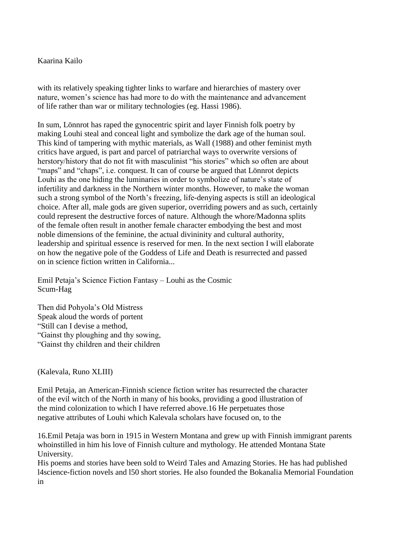with its relatively speaking tighter links to warfare and hierarchies of mastery over nature, women's science has had more to do with the maintenance and advancement of life rather than war or military technologies (eg. Hassi 1986).

In sum, Lönnrot has raped the gynocentric spirit and layer Finnish folk poetry by making Louhi steal and conceal light and symbolize the dark age of the human soul. This kind of tampering with mythic materials, as Wall (1988) and other feminist myth critics have argued, is part and parcel of patriarchal ways to overwrite versions of herstory/history that do not fit with masculinist "his stories" which so often are about "maps" and "chaps", i.e. conquest. It can of course be argued that Lönnrot depicts Louhi as the one hiding the luminaries in order to symbolize of nature's state of infertility and darkness in the Northern winter months. However, to make the woman such a strong symbol of the North's freezing, life-denying aspects is still an ideological choice. After all, male gods are given superior, overriding powers and as such, certainly could represent the destructive forces of nature. Although the whore/Madonna splits of the female often result in another female character embodying the best and most noble dimensions of the feminine, the actual divininity and cultural authority, leadership and spiritual essence is reserved for men. In the next section I will elaborate on how the negative pole of the Goddess of Life and Death is resurrected and passed on in science fiction written in California...

Emil Petaja's Science Fiction Fantasy – Louhi as the Cosmic Scum-Hag

Then did Pohyola's Old Mistress Speak aloud the words of portent "Still can I devise a method, "Gainst thy ploughing and thy sowing, "Gainst thy children and their children

(Kalevala, Runo XLIII)

Emil Petaja, an American-Finnish science fiction writer has resurrected the character of the evil witch of the North in many of his books, providing a good illustration of the mind colonization to which I have referred above.16 He perpetuates those negative attributes of Louhi which Kalevala scholars have focused on, to the

16.Emil Petaja was born in 1915 in Western Montana and grew up with Finnish immigrant parents whoinstilled in him his love of Finnish culture and mythology. He attended Montana State University.

His poems and stories have been sold to Weird Tales and Amazing Stories. He has had published l4science-fiction novels and l50 short stories. He also founded the Bokanalia Memorial Foundation in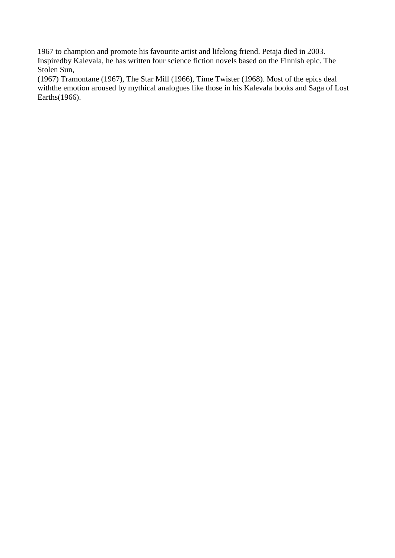1967 to champion and promote his favourite artist and lifelong friend. Petaja died in 2003. Inspiredby Kalevala, he has written four science fiction novels based on the Finnish epic. The Stolen Sun,

(1967) Tramontane (1967), The Star Mill (1966), Time Twister (1968). Most of the epics deal with the emotion aroused by mythical analogues like those in his Kalevala books and Saga of Lost Earths(1966).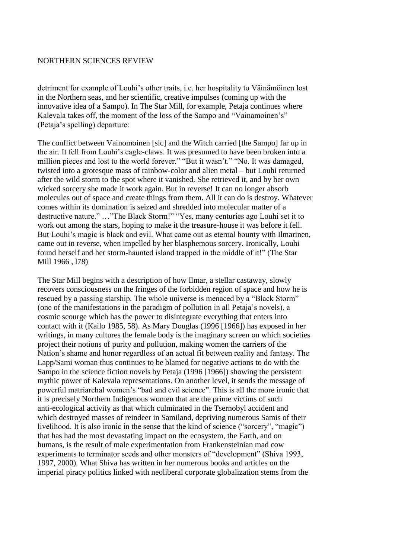detriment for example of Louhi's other traits, i.e. her hospitality to Väinämöinen lost in the Northern seas, and her scientific, creative impulses (coming up with the innovative idea of a Sampo). In The Star Mill, for example, Petaja continues where Kalevala takes off, the moment of the loss of the Sampo and "Vainamoinen's" (Petaja's spelling) departure:

The conflict between Vainomoinen [sic] and the Witch carried [the Sampo] far up in the air. It fell from Louhi's eagle-claws. It was presumed to have been broken into a million pieces and lost to the world forever." "But it wasn't." "No. It was damaged, twisted into a grotesque mass of rainbow-color and alien metal – but Louhi returned after the wild storm to the spot where it vanished. She retrieved it, and by her own wicked sorcery she made it work again. But in reverse! It can no longer absorb molecules out of space and create things from them. All it can do is destroy. Whatever comes within its domination is seized and shredded into molecular matter of a destructive nature." …"The Black Storm!" "Yes, many centuries ago Louhi set it to work out among the stars, hoping to make it the treasure-house it was before it fell. But Louhi's magic is black and evil. What came out as eternal bounty with Ilmarinen, came out in reverse, when impelled by her blasphemous sorcery. Ironically, Louhi found herself and her storm-haunted island trapped in the middle of it!" (The Star Mill 1966 , l78)

The Star Mill begins with a description of how Ilmar, a stellar castaway, slowly recovers consciousness on the fringes of the forbidden region of space and how he is rescued by a passing starship. The whole universe is menaced by a "Black Storm" (one of the manifestations in the paradigm of pollution in all Petaja's novels), a cosmic scourge which has the power to disintegrate everything that enters into contact with it (Kailo 1985, 58). As Mary Douglas (1996 [1966]) has exposed in her writings, in many cultures the female body is the imaginary screen on which societies project their notions of purity and pollution, making women the carriers of the Nation's shame and honor regardless of an actual fit between reality and fantasy. The Lapp/Sami woman thus continues to be blamed for negative actions to do with the Sampo in the science fiction novels by Petaja (1996 [1966]) showing the persistent mythic power of Kalevala representations. On another level, it sends the message of powerful matriarchal women's "bad and evil science". This is all the more ironic that it is precisely Northern Indigenous women that are the prime victims of such anti-ecological activity as that which culminated in the Tsernobyl accident and which destroyed masses of reindeer in Samiland, depriving numerous Samis of their livelihood. It is also ironic in the sense that the kind of science ("sorcery", "magic") that has had the most devastating impact on the ecosystem, the Earth, and on humans, is the result of male experimentation from Frankensteinian mad cow experiments to terminator seeds and other monsters of "development" (Shiva 1993, 1997, 2000). What Shiva has written in her numerous books and articles on the imperial piracy politics linked with neoliberal corporate globalization stems from the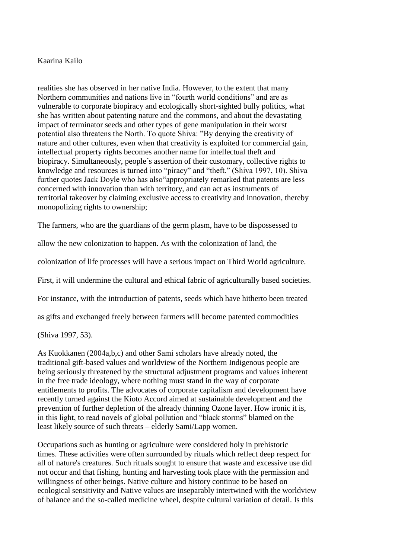realities she has observed in her native India. However, to the extent that many Northern communities and nations live in "fourth world conditions" and are as vulnerable to corporate biopiracy and ecologically short-sighted bully politics, what she has written about patenting nature and the commons, and about the devastating impact of terminator seeds and other types of gene manipulation in their worst potential also threatens the North. To quote Shiva: "By denying the creativity of nature and other cultures, even when that creativity is exploited for commercial gain, intellectual property rights becomes another name for intellectual theft and biopiracy. Simultaneously, people´s assertion of their customary, collective rights to knowledge and resources is turned into "piracy" and "theft." (Shiva 1997, 10). Shiva further quotes Jack Doyle who has also"appropriately remarked that patents are less concerned with innovation than with territory, and can act as instruments of territorial takeover by claiming exclusive access to creativity and innovation, thereby monopolizing rights to ownership;

The farmers, who are the guardians of the germ plasm, have to be dispossessed to

allow the new colonization to happen. As with the colonization of land, the

colonization of life processes will have a serious impact on Third World agriculture.

First, it will undermine the cultural and ethical fabric of agriculturally based societies.

For instance, with the introduction of patents, seeds which have hitherto been treated

as gifts and exchanged freely between farmers will become patented commodities

(Shiva 1997, 53).

As Kuokkanen (2004a,b,c) and other Sami scholars have already noted, the traditional gift-based values and worldview of the Northern Indigenous people are being seriously threatened by the structural adjustment programs and values inherent in the free trade ideology, where nothing must stand in the way of corporate entitlements to profits. The advocates of corporate capitalism and development have recently turned against the Kioto Accord aimed at sustainable development and the prevention of further depletion of the already thinning Ozone layer. How ironic it is, in this light, to read novels of global pollution and "black storms" blamed on the least likely source of such threats – elderly Sami/Lapp women.

Occupations such as hunting or agriculture were considered holy in prehistoric times. These activities were often surrounded by rituals which reflect deep respect for all of nature's creatures. Such rituals sought to ensure that waste and excessive use did not occur and that fishing, hunting and harvesting took place with the permission and willingness of other beings. Native culture and history continue to be based on ecological sensitivity and Native values are inseparably intertwined with the worldview of balance and the so-called medicine wheel, despite cultural variation of detail. Is this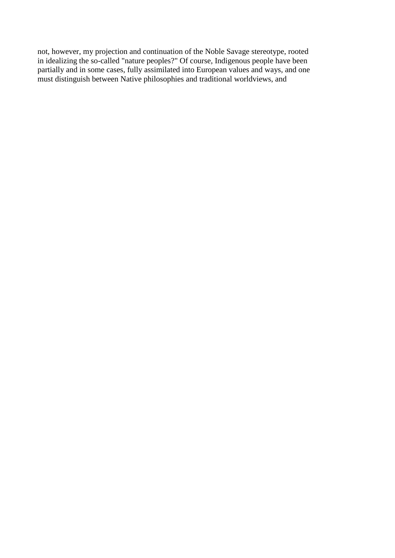not, however, my projection and continuation of the Noble Savage stereotype, rooted in idealizing the so-called "nature peoples?" Of course, Indigenous people have been partially and in some cases, fully assimilated into European values and ways, and one must distinguish between Native philosophies and traditional worldviews, and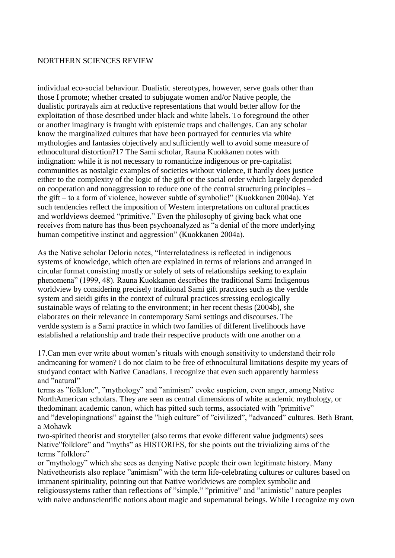individual eco-social behaviour. Dualistic stereotypes, however, serve goals other than those I promote; whether created to subjugate women and/or Native people, the dualistic portrayals aim at reductive representations that would better allow for the exploitation of those described under black and white labels. To foreground the other or another imaginary is fraught with epistemic traps and challenges. Can any scholar know the marginalized cultures that have been portrayed for centuries via white mythologies and fantasies objectively and sufficiently well to avoid some measure of ethnocultural distortion?17 The Sami scholar, Rauna Kuokkanen notes with indignation: while it is not necessary to romanticize indigenous or pre-capitalist communities as nostalgic examples of societies without violence, it hardly does justice either to the complexity of the logic of the gift or the social order which largely depended on cooperation and nonaggression to reduce one of the central structuring principles – the gift – to a form of violence, however subtle of symbolic!" (Kuokkanen 2004a). Yet such tendencies reflect the imposition of Western interpretations on cultural practices and worldviews deemed "primitive." Even the philosophy of giving back what one receives from nature has thus been psychoanalyzed as "a denial of the more underlying human competitive instinct and aggression" (Kuokkanen 2004a).

As the Native scholar Deloria notes, "Interrelatedness is reflected in indigenous systems of knowledge, which often are explained in terms of relations and arranged in circular format consisting mostly or solely of sets of relationships seeking to explain phenomena" (1999, 48). Rauna Kuokkanen describes the traditional Sami Indigenous worldview by considering precisely traditional Sami gift practices such as the verdde system and sieidi gifts in the context of cultural practices stressing ecologically sustainable ways of relating to the environment; in her recent thesis (2004b), she elaborates on their relevance in contemporary Sami settings and discourses. The verdde system is a Sami practice in which two families of different livelihoods have established a relationship and trade their respective products with one another on a

17.Can men ever write about women's rituals with enough sensitivity to understand their role andmeaning for women? I do not claim to be free of ethnocultural limitations despite my years of studyand contact with Native Canadians. I recognize that even such apparently harmless and "natural"

terms as "folklore", "mythology" and "animism" evoke suspicion, even anger, among Native NorthAmerican scholars. They are seen as central dimensions of white academic mythology, or thedominant academic canon, which has pitted such terms, associated with "primitive" and "developingnations" against the "high culture" of "civilized", "advanced" cultures. Beth Brant, a Mohawk

two-spirited theorist and storyteller (also terms that evoke different value judgments) sees Native"folklore" and "myths" as HISTORIES, for she points out the trivializing aims of the terms "folklore"

or "mythology" which she sees as denying Native people their own legitimate history. Many Nativetheorists also replace "animism" with the term life-celebrating cultures or cultures based on immanent spirituality, pointing out that Native worldviews are complex symbolic and religioussystems rather than reflections of "simple," "primitive" and "animistic" nature peoples with naive andunscientific notions about magic and supernatural beings. While I recognize my own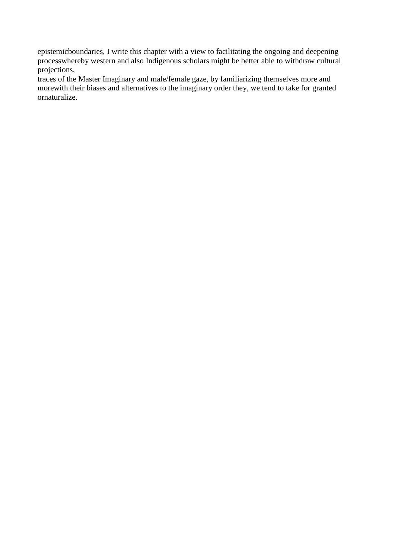epistemicboundaries, I write this chapter with a view to facilitating the ongoing and deepening processwhereby western and also Indigenous scholars might be better able to withdraw cultural projections,

traces of the Master Imaginary and male/female gaze, by familiarizing themselves more and morewith their biases and alternatives to the imaginary order they, we tend to take for granted ornaturalize.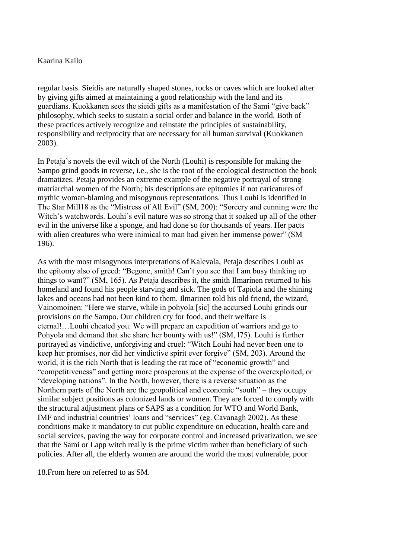regular basis. Sieidis are naturally shaped stones, rocks or caves which are looked after by giving gifts aimed at maintaining a good relationship with the land and its guardians. Kuokkanen sees the sieidi gifts as a manifestation of the Sami "give back" philosophy, which seeks to sustain a social order and balance in the world. Both of these practices actively recognize and reinstate the principles of sustainability, responsibility and reciprocity that are necessary for all human survival (Kuokkanen 2003).

In Petaja's novels the evil witch of the North (Louhi) is responsible for making the Sampo grind goods in reverse, i.e., she is the root of the ecological destruction the book dramatizes. Petaja provides an extreme example of the negative portrayal of strong matriarchal women of the North; his descriptions are epitomies if not caricatures of mythic woman-blaming and misogynous representations. Thus Louhi is identified in The Star Mill18 as the "Mistress of All Evil" (SM, 200): "Sorcery and cunning were the Witch's watchwords. Louhi's evil nature was so strong that it soaked up all of the other evil in the universe like a sponge, and had done so for thousands of years. Her pacts with alien creatures who were inimical to man had given her immense power" (SM 196).

As with the most misogynous interpretations of Kalevala, Petaja describes Louhi as the epitomy also of greed: "Begone, smith! Can't you see that I am busy thinking up things to want?" (SM, 165). As Petaja describes it, the smith Ilmarinen returned to his homeland and found his people starving and sick. The gods of Tapiola and the shining lakes and oceans had not been kind to them. Ilmarinen told his old friend, the wizard, Vainomoinen: "Here we starve, while in pohyola [sic] the accursed Louhi grinds our provisions on the Sampo. Our children cry for food, and their welfare is eternal!…Louhi cheated you. We will prepare an expedition of warriors and go to Pohyola and demand that she share her bounty with us!" (SM, l75). Louhi is further portrayed as vindictive, unforgiving and cruel: "Witch Louhi had never been one to keep her promises, nor did her vindictive spirit ever forgive" (SM, 203). Around the world, it is the rich North that is leading the rat race of "economic growth" and "competitiveness" and getting more prosperous at the expense of the overexploited, or "developing nations". In the North, however, there is a reverse situation as the Northern parts of the North are the geopolitical and economic "south" – they occupy similar subject positions as colonized lands or women. They are forced to comply with the structural adjustment plans or SAPS as a condition for WTO and World Bank, IMF and industrial countries' loans and "services" (eg. Cavanagh 2002). As these conditions make it mandatory to cut public expenditure on education, health care and social services, paving the way for corporate control and increased privatization, we see that the Sami or Lapp witch really is the prime victim rather than beneficiary of such policies. After all, the elderly women are around the world the most vulnerable, poor

18.From here on referred to as SM.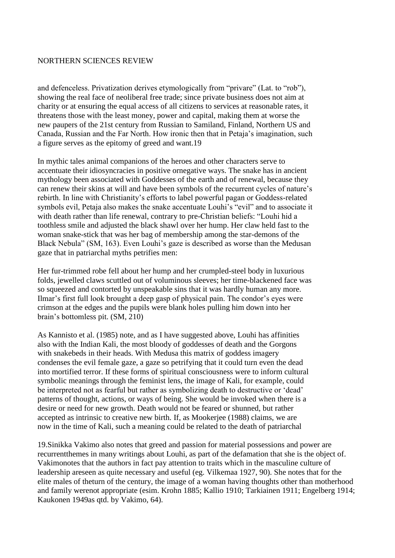and defenceless. Privatization derives etymologically from "privare" (Lat. to "rob"), showing the real face of neoliberal free trade; since private business does not aim at charity or at ensuring the equal access of all citizens to services at reasonable rates, it threatens those with the least money, power and capital, making them at worse the new paupers of the 21st century from Russian to Samiland, Finland, Northern US and Canada, Russian and the Far North. How ironic then that in Petaja's imagination, such a figure serves as the epitomy of greed and want.19

In mythic tales animal companions of the heroes and other characters serve to accentuate their idiosyncracies in positive ornegative ways. The snake has in ancient mythology been associated with Goddesses of the earth and of renewal, because they can renew their skins at will and have been symbols of the recurrent cycles of nature's rebirth. In line with Christianity's efforts to label powerful pagan or Goddess-related symbols evil, Petaja also makes the snake accentuate Louhi's "evil" and to associate it with death rather than life renewal, contrary to pre-Christian beliefs: "Louhi hid a toothless smile and adjusted the black shawl over her hump. Her claw held fast to the woman snake-stick that was her bag of membership among the star-demons of the Black Nebula" (SM, 163). Even Louhi's gaze is described as worse than the Medusan gaze that in patriarchal myths petrifies men:

Her fur-trimmed robe fell about her hump and her crumpled-steel body in luxurious folds, jewelled claws scuttled out of voluminous sleeves; her time-blackened face was so squeezed and contorted by unspeakable sins that it was hardly human any more. Ilmar's first full look brought a deep gasp of physical pain. The condor's eyes were crimson at the edges and the pupils were blank holes pulling him down into her brain's bottomless pit. (SM, 210)

As Kannisto et al. (1985) note, and as I have suggested above, Louhi has affinities also with the Indian Kali, the most bloody of goddesses of death and the Gorgons with snakebeds in their heads. With Medusa this matrix of goddess imagery condenses the evil female gaze, a gaze so petrifying that it could turn even the dead into mortified terror. If these forms of spiritual consciousness were to inform cultural symbolic meanings through the feminist lens, the image of Kali, for example, could be interpreted not as fearful but rather as symbolizing death to destructive or 'dead' patterns of thought, actions, or ways of being. She would be invoked when there is a desire or need for new growth. Death would not be feared or shunned, but rather accepted as intrinsic to creative new birth. If, as Mookerjee (1988) claims, we are now in the time of Kali, such a meaning could be related to the death of patriarchal

19.Sinikka Vakimo also notes that greed and passion for material possessions and power are recurrentthemes in many writings about Louhi, as part of the defamation that she is the object of. Vakimonotes that the authors in fact pay attention to traits which in the masculine culture of leadership areseen as quite necessary and useful (eg. Vilkemaa 1927, 90). She notes that for the elite males of theturn of the century, the image of a woman having thoughts other than motherhood and family werenot appropriate (esim. Krohn 1885; Kallio 1910; Tarkiainen 1911; Engelberg 1914; Kaukonen 1949as qtd. by Vakimo, 64).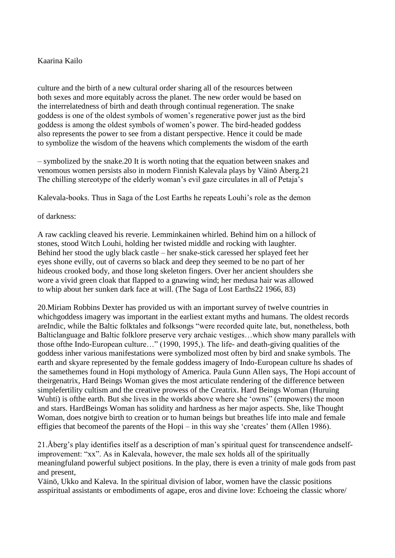culture and the birth of a new cultural order sharing all of the resources between both sexes and more equitably across the planet. The new order would be based on the interrelatedness of birth and death through continual regeneration. The snake goddess is one of the oldest symbols of women's regenerative power just as the bird goddess is among the oldest symbols of women's power. The bird-headed goddess also represents the power to see from a distant perspective. Hence it could be made to symbolize the wisdom of the heavens which complements the wisdom of the earth

– symbolized by the snake.20 It is worth noting that the equation between snakes and venomous women persists also in modern Finnish Kalevala plays by Väinö Åberg.21 The chilling stereotype of the elderly woman's evil gaze circulates in all of Petaja's

Kalevala-books. Thus in Saga of the Lost Earths he repeats Louhi's role as the demon

## of darkness:

A raw cackling cleaved his reverie. Lemminkainen whirled. Behind him on a hillock of stones, stood Witch Louhi, holding her twisted middle and rocking with laughter. Behind her stood the ugly black castle – her snake-stick caressed her splayed feet her eyes shone evilly, out of caverns so black and deep they seemed to be no part of her hideous crooked body, and those long skeleton fingers. Over her ancient shoulders she wore a vivid green cloak that flapped to a gnawing wind; her medusa hair was allowed to whip about her sunken dark face at will. (The Saga of Lost Earths22 1966, 83)

20.Miriam Robbins Dexter has provided us with an important survey of twelve countries in whichgoddess imagery was important in the earliest extant myths and humans. The oldest records areIndic, while the Baltic folktales and folksongs "were recorded quite late, but, nonetheless, both Balticlanguage and Baltic folklore preserve very archaic vestiges…which show many parallels with those ofthe Indo-European culture…" (1990, 1995,). The life- and death-giving qualities of the goddess inher various manifestations were symbolized most often by bird and snake symbols. The earth and skyare represented by the female goddess imagery of Indo-European culture hs shades of the samethemes found in Hopi mythology of America. Paula Gunn Allen says, The Hopi account of theirgenatrix, Hard Beings Woman gives the most articulate rendering of the difference between simplefertility cultism and the creative prowess of the Creatrix. Hard Beings Woman (Huruing Wuhti) is ofthe earth. But she lives in the worlds above where she 'owns" (empowers) the moon and stars. HardBeings Woman has solidity and hardness as her major aspects. She, like Thought Woman, does notgive birth to creation or to human beings but breathes life into male and female effigies that becomeof the parents of the Hopi – in this way she 'creates' them (Allen 1986).

21.Åberg's play identifies itself as a description of man's spiritual quest for transcendence andselfimprovement: "xx". As in Kalevala, however, the male sex holds all of the spiritually meaningfuland powerful subject positions. In the play, there is even a trinity of male gods from past and present,

Väinö, Ukko and Kaleva. In the spiritual division of labor, women have the classic positions asspiritual assistants or embodiments of agape, eros and divine love: Echoeing the classic whore/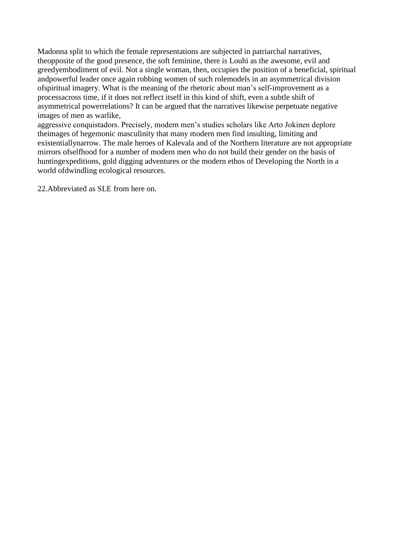Madonna split to which the female representations are subjected in patriarchal narratives, theopposite of the good presence, the soft feminine, there is Louhi as the awesome, evil and greedyembodiment of evil. Not a single woman, then, occupies the position of a beneficial, spiritual andpowerful leader once again robbing women of such rolemodels in an asymmetrical division ofspiritual imagery. What is the meaning of the rhetoric about man's self-improvement as a processacross time, if it does not reflect itself in this kind of shift, even a subtle shift of asymmetrical powerrelations? It can be argued that the narratives likewise perpetuate negative images of men as warlike,

aggressive conquistadors. Precisely, modern men's studies scholars like Arto Jokinen deplore theimages of hegemonic masculinity that many modern men find insulting, limiting and existentiallynarrow. The male heroes of Kalevala and of the Northern literature are not appropriate mirrors ofselfhood for a number of modern men who do not build their gender on the basis of huntingexpeditions, gold digging adventures or the modern ethos of Developing the North in a world ofdwindling ecological resources.

22.Abbreviated as SLE from here on.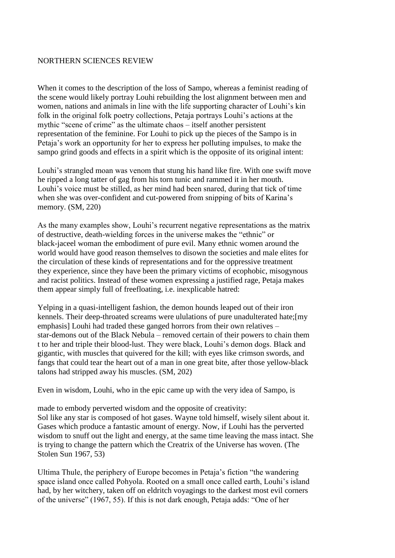When it comes to the description of the loss of Sampo, whereas a feminist reading of the scene would likely portray Louhi rebuilding the lost alignment between men and women, nations and animals in line with the life supporting character of Louhi's kin folk in the original folk poetry collections, Petaja portrays Louhi's actions at the mythic "scene of crime" as the ultimate chaos – itself another persistent representation of the feminine. For Louhi to pick up the pieces of the Sampo is in Petaja's work an opportunity for her to express her polluting impulses, to make the sampo grind goods and effects in a spirit which is the opposite of its original intent:

Louhi's strangled moan was venom that stung his hand like fire. With one swift move he ripped a long tatter of gag from his torn tunic and rammed it in her mouth. Louhi's voice must be stilled, as her mind had been snared, during that tick of time when she was over-confident and cut-powered from snipping of bits of Karina's memory. (SM, 220)

As the many examples show, Louhi's recurrent negative representations as the matrix of destructive, death-wielding forces in the universe makes the "ethnic" or black-jaceel woman the embodiment of pure evil. Many ethnic women around the world would have good reason themselves to disown the societies and male elites for the circulation of these kinds of representations and for the oppressive treatment they experience, since they have been the primary victims of ecophobic, misogynous and racist politics. Instead of these women expressing a justified rage, Petaja makes them appear simply full of freefloating, i.e. inexplicable hatred:

Yelping in a quasi-intelligent fashion, the demon hounds leaped out of their iron kennels. Their deep-throated screams were ululations of pure unadulterated hate;[my emphasis] Louhi had traded these ganged horrors from their own relatives – star-demons out of the Black Nebula – removed certain of their powers to chain them t to her and triple their blood-lust. They were black, Louhi's demon dogs. Black and gigantic, with muscles that quivered for the kill; with eyes like crimson swords, and fangs that could tear the heart out of a man in one great bite, after those yellow-black talons had stripped away his muscles. (SM, 202)

Even in wisdom, Louhi, who in the epic came up with the very idea of Sampo, is

made to embody perverted wisdom and the opposite of creativity: Sol like any star is composed of hot gases. Wayne told himself, wisely silent about it. Gases which produce a fantastic amount of energy. Now, if Louhi has the perverted wisdom to snuff out the light and energy, at the same time leaving the mass intact. She is trying to change the pattern which the Creatrix of the Universe has woven. (The Stolen Sun 1967, 53)

Ultima Thule, the periphery of Europe becomes in Petaja's fiction "the wandering space island once called Pohyola. Rooted on a small once called earth, Louhi's island had, by her witchery, taken off on eldritch voyagings to the darkest most evil corners of the universe" (1967, 55). If this is not dark enough, Petaja adds: "One of her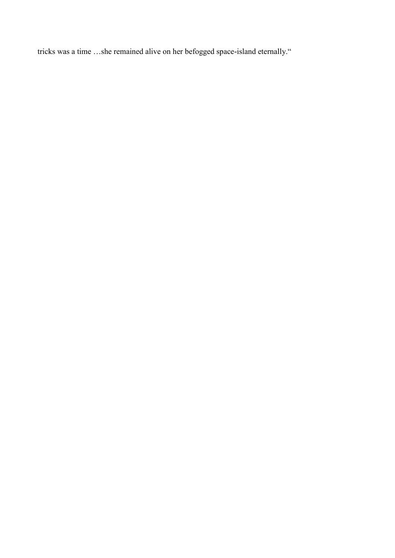tricks was a time …she remained alive on her befogged space-island eternally."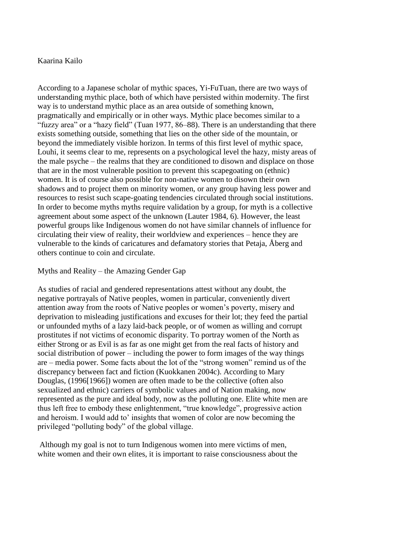According to a Japanese scholar of mythic spaces, Yi-FuTuan, there are two ways of understanding mythic place, both of which have persisted within modernity. The first way is to understand mythic place as an area outside of something known, pragmatically and empirically or in other ways. Mythic place becomes similar to a "fuzzy area" or a "hazy field" (Tuan 1977, 86–88). There is an understanding that there exists something outside, something that lies on the other side of the mountain, or beyond the immediately visible horizon. In terms of this first level of mythic space, Louhi, it seems clear to me, represents on a psychological level the hazy, misty areas of the male psyche – the realms that they are conditioned to disown and displace on those that are in the most vulnerable position to prevent this scapegoating on (ethnic) women. It is of course also possible for non-native women to disown their own shadows and to project them on minority women, or any group having less power and resources to resist such scape-goating tendencies circulated through social institutions. In order to become myths myths require validation by a group, for myth is a collective agreement about some aspect of the unknown (Lauter 1984, 6). However, the least powerful groups like Indigenous women do not have similar channels of influence for circulating their view of reality, their worldview and experiences – hence they are vulnerable to the kinds of caricatures and defamatory stories that Petaja, Åberg and others continue to coin and circulate.

## Myths and Reality – the Amazing Gender Gap

As studies of racial and gendered representations attest without any doubt, the negative portrayals of Native peoples, women in particular, conveniently divert attention away from the roots of Native peoples or women's poverty, misery and deprivation to misleading justifications and excuses for their lot; they feed the partial or unfounded myths of a lazy laid-back people, or of women as willing and corrupt prostitutes if not victims of economic disparity. To portray women of the North as either Strong or as Evil is as far as one might get from the real facts of history and social distribution of power – including the power to form images of the way things are – media power. Some facts about the lot of the "strong women" remind us of the discrepancy between fact and fiction (Kuokkanen 2004c). According to Mary Douglas, (1996[1966]) women are often made to be the collective (often also sexualized and ethnic) carriers of symbolic values and of Nation making, now represented as the pure and ideal body, now as the polluting one. Elite white men are thus left free to embody these enlightenment, "true knowledge", progressive action and heroism. I would add to' insights that women of color are now becoming the privileged "polluting body" of the global village.

Although my goal is not to turn Indigenous women into mere victims of men, white women and their own elites, it is important to raise consciousness about the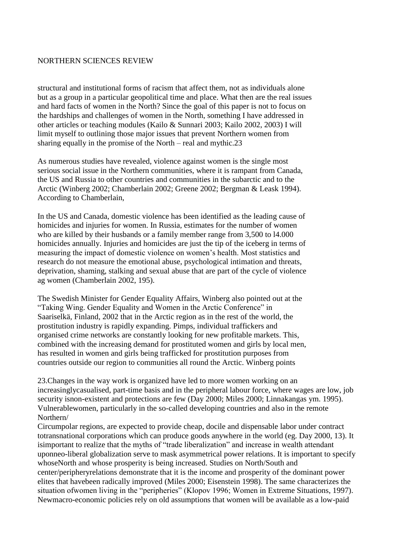structural and institutional forms of racism that affect them, not as individuals alone but as a group in a particular geopolitical time and place. What then are the real issues and hard facts of women in the North? Since the goal of this paper is not to focus on the hardships and challenges of women in the North, something I have addressed in other articles or teaching modules (Kailo & Sunnari 2003; Kailo 2002, 2003) I will limit myself to outlining those major issues that prevent Northern women from sharing equally in the promise of the North – real and mythic.23

As numerous studies have revealed, violence against women is the single most serious social issue in the Northern communities, where it is rampant from Canada, the US and Russia to other countries and communities in the subarctic and to the Arctic (Winberg 2002; Chamberlain 2002; Greene 2002; Bergman & Leask 1994). According to Chamberlain,

In the US and Canada, domestic violence has been identified as the leading cause of homicides and injuries for women. In Russia, estimates for the number of women who are killed by their husbands or a family member range from 3,500 to l4.000 homicides annually. Injuries and homicides are just the tip of the iceberg in terms of measuring the impact of domestic violence on women's health. Most statistics and research do not measure the emotional abuse, psychological intimation and threats, deprivation, shaming, stalking and sexual abuse that are part of the cycle of violence ag women (Chamberlain 2002, 195).

The Swedish Minister for Gender Equality Affairs, Winberg also pointed out at the "Taking Wing. Gender Equality and Women in the Arctic Conference" in Saariselkä, Finland, 2002 that in the Arctic region as in the rest of the world, the prostitution industry is rapidly expanding. Pimps, individual traffickers and organised crime networks are constantly looking for new profitable markets. This, combined with the increasing demand for prostituted women and girls by local men, has resulted in women and girls being trafficked for prostitution purposes from countries outside our region to communities all round the Arctic. Winberg points

23.Changes in the way work is organized have led to more women working on an increasinglycasualised, part-time basis and in the peripheral labour force, where wages are low, job security isnon-existent and protections are few (Day 2000; Miles 2000; Linnakangas ym. 1995). Vulnerablewomen, particularly in the so-called developing countries and also in the remote Northern/

Circumpolar regions, are expected to provide cheap, docile and dispensable labor under contract totransnational corporations which can produce goods anywhere in the world (eg. Day 2000, 13). It isimportant to realize that the myths of "trade liberalization" and increase in wealth attendant uponneo-liberal globalization serve to mask asymmetrical power relations. It is important to specify whoseNorth and whose prosperity is being increased. Studies on North/South and center/peripheryrelations demonstrate that it is the income and prosperity of the dominant power elites that havebeen radically improved (Miles 2000; Eisenstein 1998). The same characterizes the situation ofwomen living in the "peripheries" (Klopov 1996; Women in Extreme Situations, 1997). Newmacro-economic policies rely on old assumptions that women will be available as a low-paid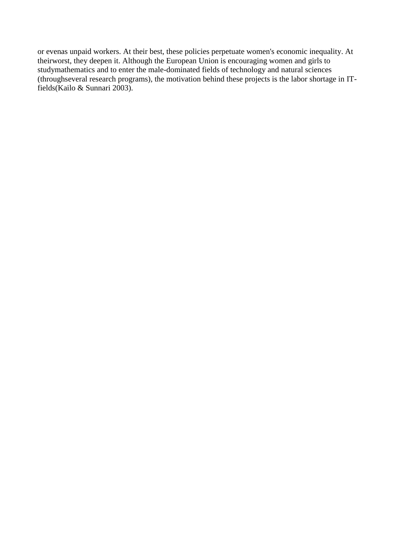or evenas unpaid workers. At their best, these policies perpetuate women's economic inequality. At theirworst, they deepen it. Although the European Union is encouraging women and girls to studymathematics and to enter the male-dominated fields of technology and natural sciences (throughseveral research programs), the motivation behind these projects is the labor shortage in ITfields(Kailo & Sunnari 2003).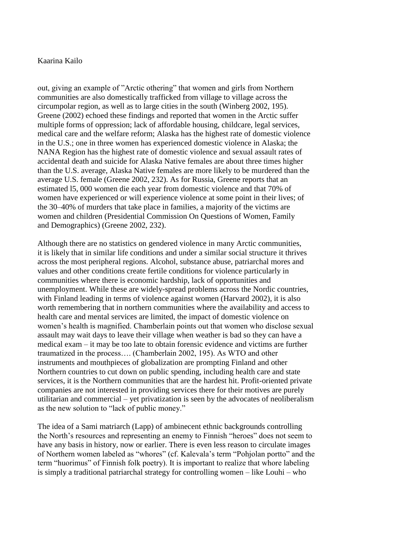out, giving an example of "Arctic othering" that women and girls from Northern communities are also domestically trafficked from village to village across the circumpolar region, as well as to large cities in the south (Winberg 2002, 195). Greene (2002) echoed these findings and reported that women in the Arctic suffer multiple forms of oppression; lack of affordable housing, childcare, legal services, medical care and the welfare reform; Alaska has the highest rate of domestic violence in the U.S.; one in three women has experienced domestic violence in Alaska; the NANA Region has the highest rate of domestic violence and sexual assault rates of accidental death and suicide for Alaska Native females are about three times higher than the U.S. average, Alaska Native females are more likely to be murdered than the average U.S. female (Greene 2002, 232). As for Russia, Greene reports that an estimated l5, 000 women die each year from domestic violence and that 70% of women have experienced or will experience violence at some point in their lives; of the 30–40% of murders that take place in families, a majority of the victims are women and children (Presidential Commission On Questions of Women, Family and Demographics) (Greene 2002, 232).

Although there are no statistics on gendered violence in many Arctic communities, it is likely that in similar life conditions and under a similar social structure it thrives across the most peripheral regions. Alcohol, substance abuse, patriarchal mores and values and other conditions create fertile conditions for violence particularly in communities where there is economic hardship, lack of opportunities and unemployment. While these are widely-spread problems across the Nordic countries, with Finland leading in terms of violence against women (Harvard 2002), it is also worth remembering that in northern communities where the availability and access to health care and mental services are limited, the impact of domestic violence on women's health is magnified. Chamberlain points out that women who disclose sexual assault may wait days to leave their village when weather is bad so they can have a medical exam – it may be too late to obtain forensic evidence and victims are further traumatized in the process…. (Chamberlain 2002, 195). As WTO and other instruments and mouthpieces of globalization are prompting Finland and other Northern countries to cut down on public spending, including health care and state services, it is the Northern communities that are the hardest hit. Profit-oriented private companies are not interested in providing services there for their motives are purely utilitarian and commercial – yet privatization is seen by the advocates of neoliberalism as the new solution to "lack of public money."

The idea of a Sami matriarch (Lapp) of ambinecent ethnic backgrounds controlling the North's resources and representing an enemy to Finnish "heroes" does not seem to have any basis in history, now or earlier. There is even less reason to circulate images of Northern women labeled as "whores" (cf. Kalevala's term "Pohjolan portto" and the term "huorimus" of Finnish folk poetry). It is important to realize that whore labeling is simply a traditional patriarchal strategy for controlling women – like Louhi – who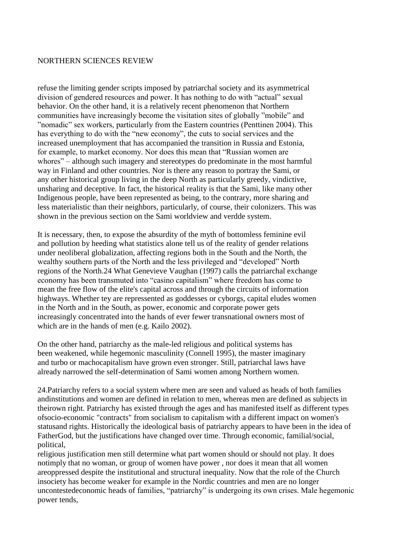refuse the limiting gender scripts imposed by patriarchal society and its asymmetrical division of gendered resources and power. It has nothing to do with "actual" sexual behavior. On the other hand, it is a relatively recent phenomenon that Northern communities have increasingly become the visitation sites of globally "mobile" and "nomadic" sex workers, particularly from the Eastern countries (Penttinen 2004). This has everything to do with the "new economy", the cuts to social services and the increased unemployment that has accompanied the transition in Russia and Estonia, for example, to market economy. Nor does this mean that "Russian women are whores" – although such imagery and stereotypes do predominate in the most harmful way in Finland and other countries. Nor is there any reason to portray the Sami, or any other historical group living in the deep North as particularly greedy, vindictive, unsharing and deceptive. In fact, the historical reality is that the Sami, like many other Indigenous people, have been represented as being, to the contrary, more sharing and less materialistic than their neighbors, particularly, of course, their colonizers. This was shown in the previous section on the Sami worldview and verdde system.

It is necessary, then, to expose the absurdity of the myth of bottomless feminine evil and pollution by heeding what statistics alone tell us of the reality of gender relations under neoliberal globalization, affecting regions both in the South and the North, the wealthy southern parts of the North and the less privileged and "developed" North regions of the North.24 What Genevieve Vaughan (1997) calls the patriarchal exchange economy has been transmuted into "casino capitalism" where freedom has come to mean the free flow of the elite's capital across and through the circuits of information highways. Whether tey are repressented as goddesses or cyborgs, capital eludes women in the North and in the South, as power, economic and corporate power gets increasingly concentrated into the hands of ever fewer transnational owners most of which are in the hands of men (e.g. Kailo 2002).

On the other hand, patriarchy as the male-led religious and political systems has been weakened, while hegemonic masculinity (Connell 1995), the master imaginary and turbo or machocapitalism have grown even stronger. Still, patriarchal laws have already narrowed the self-determination of Sami women among Northern women.

24.Patriarchy refers to a social system where men are seen and valued as heads of both families andinstitutions and women are defined in relation to men, whereas men are defined as subjects in theirown right. Patriarchy has existed through the ages and has manifested itself as different types ofsocio-economic "contracts" from socialism to capitalism with a different impact on women's statusand rights. Historically the ideological basis of patriarchy appears to have been in the idea of FatherGod, but the justifications have changed over time. Through economic, familial/social, political,

religious justification men still determine what part women should or should not play. It does notimply that no woman, or group of women have power , nor does it mean that all women areoppressed despite the institutional and structural inequality. Now that the role of the Church insociety has become weaker for example in the Nordic countries and men are no longer uncontestedeconomic heads of families, "patriarchy" is undergoing its own crises. Male hegemonic power tends,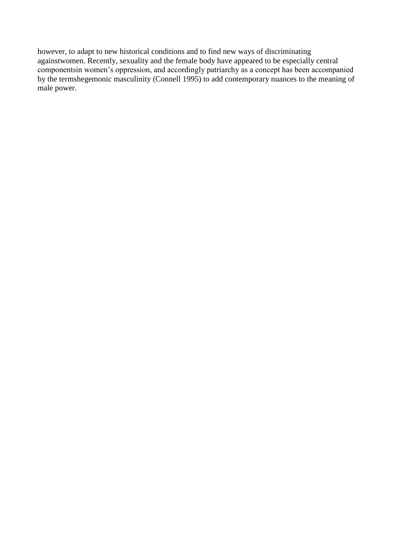however, to adapt to new historical conditions and to find new ways of discriminating againstwomen. Recently, sexuality and the female body have appeared to be especially central componentsin women's oppression, and accordingly patriarchy as a concept has been accompanied by the termshegemonic masculinity (Connell 1995) to add contemporary nuances to the meaning of male power.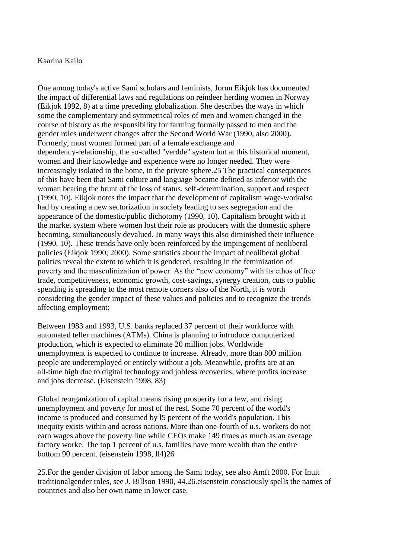One among today's active Sami scholars and feminists, Jorun Eikjok has documented the impact of differential laws and regulations on reindeer herding women in Norway (Eikjok 1992, 8) at a time preceding globalization. She describes the ways in which some the complementary and symmetrical roles of men and women changed in the course of history as the responsibility for farming formally passed to men and the gender roles underwent changes after the Second World War (1990, also 2000). Formerly, most women formed part of a female exchange and dependency-relationship, the so-called "verdde" system but at this historical moment, women and their knowledge and experience were no longer needed. They were increasingly isolated in the home, in the private sphere.25 The practical consequences of this have been that Sami culture and language became defined as inferior with the woman bearing the brunt of the loss of status, self-determination, support and respect (1990, 10). Eikjok notes the impact that the development of capitalism wage-workalso had by creating a new sectorization in society leading to sex segregation and the appearance of the domestic/public dichotomy (1990, 10). Capitalism brought with it the market system where women lost their role as producers with the domestic sphere becoming, simultaneously devalued. In many ways this also diminished their influence (1990, 10). These trends have only been reinforced by the impingement of neoliberal policies (Eikjok 1990; 2000). Some statistics about the impact of neoliberal global politics reveal the extent to which it is gendered, resulting in the feminization of poverty and the masculinization of power. As the "new economy" with its ethos of free trade, competitiveness, economic growth, cost-savings, synergy creation, cuts to public spending is spreading to the most remote corners also of the North, it is worth considering the gender impact of these values and policies and to recognize the trends affecting employment:

Between 1983 and 1993, U.S. banks replaced 37 percent of their workforce with automated teller machines (ATMs). China is planning to introduce computerized production, which is expected to eliminate 20 million jobs. Worldwide unemployment is expected to continue to increase. Already, more than 800 million people are underemployed or entirely without a job. Meanwhile, profits are at an all-time high due to digital technology and jobless recoveries, where profits increase and jobs decrease. (Eisenstein 1998, 83)

Global reorganization of capital means rising prosperity for a few, and rising unemployment and poverty for most of the rest. Some 70 percent of the world's income is produced and consumed by l5 percent of the world's population. This inequity exists within and across nations. More than one-fourth of u.s. workers do not earn wages above the poverty line while CEOs make 149 times as much as an average factory worke. The top 1 percent of u.s. families have more wealth than the entire bottom 90 percent. (eisenstein 1998, ll4)26

25.For the gender division of labor among the Sami today, see also Amft 2000. For Inuit traditionalgender roles, see J. Billson 1990, 44.26.eisenstein consciously spells the names of countries and also her own name in lower case.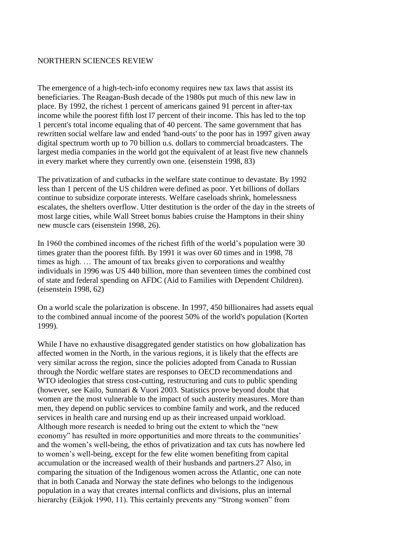The emergence of a high-tech-info economy requires new tax laws that assist its beneficiaries. The Reagan-Bush decade of the 1980s put much of this new law in place. By 1992, the richest 1 percent of americans gained 91 percent in after-tax income while the poorest fifth lost l7 percent of their income. This has led to the top 1 percent's total income equaling that of 40 percent. The same government that has rewritten social welfare law and ended 'hand-outs' to the poor has in 1997 given away digital spectrum worth up to 70 billion u.s. dollars to commercial broadcasters. The largest media companies in the world got the equivalent of at least five new channels in every market where they currently own one. (eisenstein 1998, 83)

The privatization of and cutbacks in the welfare state continue to devastate. By 1992 less than 1 percent of the US children were defined as poor. Yet billions of dollars continue to subsidize corporate interests. Welfare caseloads shrink, homelessness escalates, the shelters overflow. Utter destitution is the order of the day in the streets of most large cities, while Wall Street bonus babies cruise the Hamptons in their shiny new muscle cars (eisenstein 1998, 26).

In 1960 the combined incomes of the richest fifth of the world's population were 30 times grater than the poorest fifth. By 1991 it was over 60 times and in 1998, 78 times as high. … The amount of tax breaks given to corporations and wealthy individuals in 1996 was US 440 billion, more than seventeen times the combined cost of state and federal spending on AFDC (Aid to Families with Dependent Children). (eisenstein 1998, 62)

On a world scale the polarization is obscene. In 1997, 450 billionaires had assets equal to the combined annual income of the poorest 50% of the world's population (Korten 1999).

While I have no exhaustive disaggregated gender statistics on how globalization has affected women in the North, in the various regions, it is likely that the effects are very similar across the region, since the policies adopted from Canada to Russian through the Nordic welfare states are responses to OECD recommendations and WTO ideologies that stress cost-cutting, restructuring and cuts to public spending (however, see Kailo, Sunnari & Vuori 2003. Statistics prove beyond doubt that women are the most vulnerable to the impact of such austerity measures. More than men, they depend on public services to combine family and work, and the reduced services in health care and nursing end up as their increased unpaid workload. Although more research is needed to bring out the extent to which the "new economy" has resulted in more opportunities and more threats to the communities' and the women's well-being, the ethos of privatization and tax cuts has nowhere led to women's well-being, except for the few elite women benefiting from capital accumulation or the increased wealth of their husbands and partners.27 Also, in comparing the situation of the Indigenous women across the Atlantic, one can note that in both Canada and Norway the state defines who belongs to the indigenous population in a way that creates internal conflicts and divisions, plus an internal hierarchy (Eikjok 1990, 11). This certainly prevents any "Strong women" from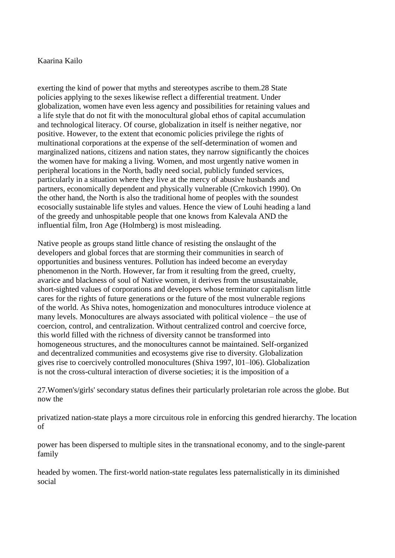exerting the kind of power that myths and stereotypes ascribe to them.28 State policies applying to the sexes likewise reflect a differential treatment. Under globalization, women have even less agency and possibilities for retaining values and a life style that do not fit with the monocultural global ethos of capital accumulation and technological literacy. Of course, globalization in itself is neither negative, nor positive. However, to the extent that economic policies privilege the rights of multinational corporations at the expense of the self-determination of women and marginalized nations, citizens and nation states, they narrow significantly the choices the women have for making a living. Women, and most urgently native women in peripheral locations in the North, badly need social, publicly funded services, particularly in a situation where they live at the mercy of abusive husbands and partners, economically dependent and physically vulnerable (Crnkovich 1990). On the other hand, the North is also the traditional home of peoples with the soundest ecosocially sustainable life styles and values. Hence the view of Louhi heading a land of the greedy and unhospitable people that one knows from Kalevala AND the influential film, Iron Age (Holmberg) is most misleading.

Native people as groups stand little chance of resisting the onslaught of the developers and global forces that are storming their communities in search of opportunities and business ventures. Pollution has indeed become an everyday phenomenon in the North. However, far from it resulting from the greed, cruelty, avarice and blackness of soul of Native women, it derives from the unsustainable, short-sighted values of corporations and developers whose terminator capitalism little cares for the rights of future generations or the future of the most vulnerable regions of the world. As Shiva notes, homogenization and monocultures introduce violence at many levels. Monocultures are always associated with political violence – the use of coercion, control, and centralization. Without centralized control and coercive force, this world filled with the richness of diversity cannot be transformed into homogeneous structures, and the monocultures cannot be maintained. Self-organized and decentralized communities and ecosystems give rise to diversity. Globalization gives rise to coercively controlled monocultures (Shiva 1997, l01–l06). Globalization is not the cross-cultural interaction of diverse societies; it is the imposition of a

27.Women's/girls' secondary status defines their particularly proletarian role across the globe. But now the

privatized nation-state plays a more circuitous role in enforcing this gendred hierarchy. The location of

power has been dispersed to multiple sites in the transnational economy, and to the single-parent family

headed by women. The first-world nation-state regulates less paternalistically in its diminished social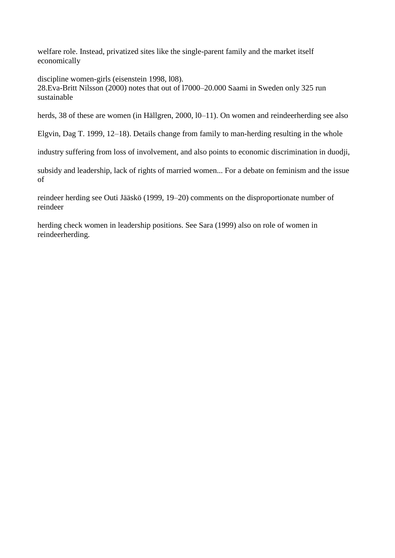welfare role. Instead, privatized sites like the single-parent family and the market itself economically

discipline women-girls (eisenstein 1998, l08).

28.Eva-Britt Nilsson (2000) notes that out of l7000–20.000 Saami in Sweden only 325 run sustainable

herds, 38 of these are women (in Hällgren, 2000, 10–11). On women and reindeerherding see also

Elgvin, Dag T. 1999, 12–18). Details change from family to man-herding resulting in the whole

industry suffering from loss of involvement, and also points to economic discrimination in duodji,

subsidy and leadership, lack of rights of married women... For a debate on feminism and the issue of

reindeer herding see Outi Jääskö (1999, 19–20) comments on the disproportionate number of reindeer

herding check women in leadership positions. See Sara (1999) also on role of women in reindeerherding.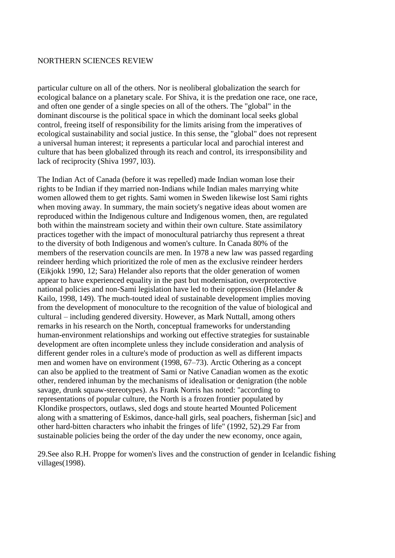particular culture on all of the others. Nor is neoliberal globalization the search for ecological balance on a planetary scale. For Shiva, it is the predation one race, one race, and often one gender of a single species on all of the others. The "global" in the dominant discourse is the political space in which the dominant local seeks global control, freeing itself of responsibility for the limits arising from the imperatives of ecological sustainability and social justice. In this sense, the "global" does not represent a universal human interest; it represents a particular local and parochial interest and culture that has been globalized through its reach and control, its irresponsibility and lack of reciprocity (Shiva 1997, l03).

The Indian Act of Canada (before it was repelled) made Indian woman lose their rights to be Indian if they married non-Indians while Indian males marrying white women allowed them to get rights. Sami women in Sweden likewise lost Sami rights when moving away. In summary, the main society's negative ideas about women are reproduced within the Indigenous culture and Indigenous women, then, are regulated both within the mainstream society and within their own culture. State assimilatory practices together with the impact of monocultural patriarchy thus represent a threat to the diversity of both Indigenous and women's culture. In Canada 80% of the members of the reservation councils are men. In 1978 a new law was passed regarding reindeer herding which prioritized the role of men as the exclusive reindeer herders (Eikjokk 1990, 12; Sara) Helander also reports that the older generation of women appear to have experienced equality in the past but modernisation, overprotective national policies and non-Sami legislation have led to their oppression (Helander & Kailo, 1998, 149). The much-touted ideal of sustainable development implies moving from the development of monoculture to the recognition of the value of biological and cultural – including gendered diversity. However, as Mark Nuttall, among others remarks in his research on the North, conceptual frameworks for understanding human-environment relationships and working out effective strategies for sustainable development are often incomplete unless they include consideration and analysis of different gender roles in a culture's mode of production as well as different impacts men and women have on environment (1998, 67–73). Arctic Othering as a concept can also be applied to the treatment of Sami or Native Canadian women as the exotic other, rendered inhuman by the mechanisms of idealisation or denigration (the noble savage, drunk squaw-stereotypes). As Frank Norris has noted: "according to representations of popular culture, the North is a frozen frontier populated by Klondike prospectors, outlaws, sled dogs and stoute hearted Mounted Policement along with a smattering of Eskimos, dance-hall girls, seal poachers, fisherman [sic] and other hard-bitten characters who inhabit the fringes of life" (1992, 52).29 Far from sustainable policies being the order of the day under the new economy, once again,

29.See also R.H. Proppe for women's lives and the construction of gender in Icelandic fishing villages(1998).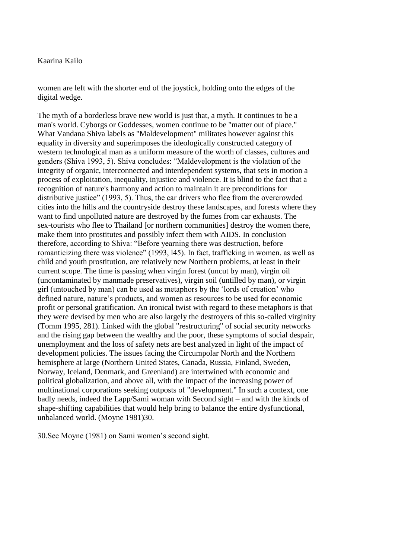women are left with the shorter end of the joystick, holding onto the edges of the digital wedge.

The myth of a borderless brave new world is just that, a myth. It continues to be a man's world. Cyborgs or Goddesses, women continue to be "matter out of place." What Vandana Shiva labels as "Maldevelopment" militates however against this equality in diversity and superimposes the ideologically constructed category of western technological man as a uniform measure of the worth of classes, cultures and genders (Shiva 1993, 5). Shiva concludes: "Maldevelopment is the violation of the integrity of organic, interconnected and interdependent systems, that sets in motion a process of exploitation, inequality, injustice and violence. It is blind to the fact that a recognition of nature's harmony and action to maintain it are preconditions for distributive justice" (1993, 5). Thus, the car drivers who flee from the overcrowded cities into the hills and the countryside destroy these landscapes, and forests where they want to find unpolluted nature are destroyed by the fumes from car exhausts. The sex-tourists who flee to Thailand [or northern communities] destroy the women there, make them into prostitutes and possibly infect them with AIDS. In conclusion therefore, according to Shiva: "Before yearning there was destruction, before romanticizing there was violence" (1993, l45). In fact, trafficking in women, as well as child and youth prostitution, are relatively new Northern problems, at least in their current scope. The time is passing when virgin forest (uncut by man), virgin oil (uncontaminated by manmade preservatives), virgin soil (untilled by man), or virgin girl (untouched by man) can be used as metaphors by the 'lords of creation' who defined nature, nature's products, and women as resources to be used for economic profit or personal gratification. An ironical twist with regard to these metaphors is that they were devised by men who are also largely the destroyers of this so-called virginity (Tomm 1995, 281). Linked with the global "restructuring" of social security networks and the rising gap between the wealthy and the poor, these symptoms of social despair, unemployment and the loss of safety nets are best analyzed in light of the impact of development policies. The issues facing the Circumpolar North and the Northern hemisphere at large (Northern United States, Canada, Russia, Finland, Sweden, Norway, Iceland, Denmark, and Greenland) are intertwined with economic and political globalization, and above all, with the impact of the increasing power of multinational corporations seeking outposts of "development." In such a context, one badly needs, indeed the Lapp/Sami woman with Second sight – and with the kinds of shape-shifting capabilities that would help bring to balance the entire dysfunctional, unbalanced world. (Moyne 1981)30.

30.See Moyne (1981) on Sami women's second sight.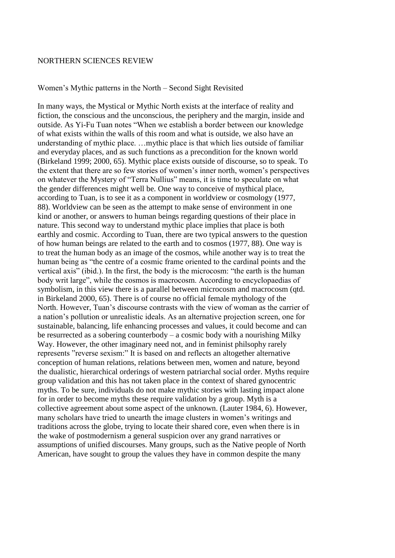#### Women's Mythic patterns in the North – Second Sight Revisited

In many ways, the Mystical or Mythic North exists at the interface of reality and fiction, the conscious and the unconscious, the periphery and the margin, inside and outside. As Yi-Fu Tuan notes "When we establish a border between our knowledge of what exists within the walls of this room and what is outside, we also have an understanding of mythic place. …mythic place is that which lies outside of familiar and everyday places, and as such functions as a precondition for the known world (Birkeland 1999; 2000, 65). Mythic place exists outside of discourse, so to speak. To the extent that there are so few stories of women's inner north, women's perspectives on whatever the Mystery of "Terra Nullius" means, it is time to speculate on what the gender differences might well be. One way to conceive of mythical place, according to Tuan, is to see it as a component in worldview or cosmology (1977, 88). Worldview can be seen as the attempt to make sense of environment in one kind or another, or answers to human beings regarding questions of their place in nature. This second way to understand mythic place implies that place is both earthly and cosmic. According to Tuan, there are two typical answers to the question of how human beings are related to the earth and to cosmos (1977, 88). One way is to treat the human body as an image of the cosmos, while another way is to treat the human being as "the centre of a cosmic frame oriented to the cardinal points and the vertical axis" (ibid.). In the first, the body is the microcosm: "the earth is the human body writ large", while the cosmos is macrocosm. According to encyclopaedias of symbolism, in this view there is a parallel between microcosm and macrocosm (qtd. in Birkeland 2000, 65). There is of course no official female mythology of the North. However, Tuan's discourse contrasts with the view of woman as the carrier of a nation's pollution or unrealistic ideals. As an alternative projection screen, one for sustainable, balancing, life enhancing processes and values, it could become and can be resurrected as a sobering counterbody – a cosmic body with a nourishing Milky Way. However, the other imaginary need not, and in feminist philsophy rarely represents "reverse sexism:" It is based on and reflects an altogether alternative conception of human relations, relations between men, women and nature, beyond the dualistic, hierarchical orderings of western patriarchal social order. Myths require group validation and this has not taken place in the context of shared gynocentric myths. To be sure, individuals do not make mythic stories with lasting impact alone for in order to become myths these require validation by a group. Myth is a collective agreement about some aspect of the unknown. (Lauter 1984, 6). However, many scholars have tried to unearth the image clusters in women's writings and traditions across the globe, trying to locate their shared core, even when there is in the wake of postmodernism a general suspicion over any grand narratives or assumptions of unified discourses. Many groups, such as the Native people of North American, have sought to group the values they have in common despite the many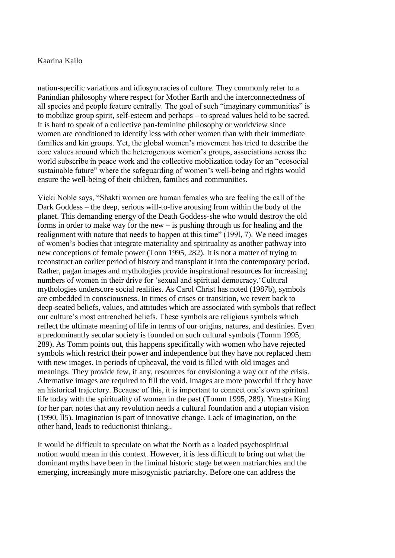nation-specific variations and idiosyncracies of culture. They commonly refer to a Panindian philosophy where respect for Mother Earth and the interconnectedness of all species and people feature centrally. The goal of such "imaginary communities" is to mobilize group spirit, self-esteem and perhaps – to spread values held to be sacred. It is hard to speak of a collective pan-feminine philosophy or worldview since women are conditioned to identify less with other women than with their immediate families and kin groups. Yet, the global women's movement has tried to describe the core values around which the heterogenous women's groups, associations across the world subscribe in peace work and the collective moblization today for an "ecosocial sustainable future" where the safeguarding of women's well-being and rights would ensure the well-being of their children, families and communities.

Vicki Noble says, "Shakti women are human females who are feeling the call of the Dark Goddess – the deep, serious will-to-live arousing from within the body of the planet. This demanding energy of the Death Goddess-she who would destroy the old forms in order to make way for the new – is pushing through us for healing and the realignment with nature that needs to happen at this time" (199l, 7). We need images of women's bodies that integrate materiality and spirituality as another pathway into new conceptions of female power (Tonn 1995, 282). It is not a matter of trying to reconstruct an earlier period of history and transplant it into the contemporary period. Rather, pagan images and mythologies provide inspirational resources for increasing numbers of women in their drive for 'sexual and spiritual democracy.'Cultural mythologies underscore social realities. As Carol Christ has noted (1987b), symbols are embedded in consciousness. In times of crises or transition, we revert back to deep-seated beliefs, values, and attitudes which are associated with symbols that reflect our culture's most entrenched beliefs. These symbols are religious symbols which reflect the ultimate meaning of life in terms of our origins, natures, and destinies. Even a predominantly secular society is founded on such cultural symbols (Tomm 1995, 289). As Tomm points out, this happens specifically with women who have rejected symbols which restrict their power and independence but they have not replaced them with new images. In periods of upheaval, the void is filled with old images and meanings. They provide few, if any, resources for envisioning a way out of the crisis. Alternative images are required to fill the void. Images are more powerful if they have an historical trajectory. Because of this, it is important to connect one's own spiritual life today with the spirituality of women in the past (Tomm 1995, 289). Ynestra King for her part notes that any revolution needs a cultural foundation and a utopian vision (1990, ll5). Imagination is part of innovative change. Lack of imagination, on the other hand, leads to reductionist thinking..

It would be difficult to speculate on what the North as a loaded psychospiritual notion would mean in this context. However, it is less difficult to bring out what the dominant myths have been in the liminal historic stage between matriarchies and the emerging, increasingly more misogynistic patriarchy. Before one can address the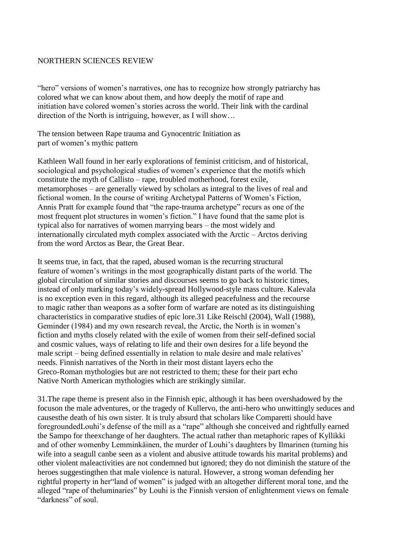"hero" versions of women's narratives, one has to recognize how strongly patriarchy has colored what we can know about them, and how deeply the motif of rape and initiation have colored women's stories across the world. Their link with the cardinal direction of the North is intriguing, however, as I will show…

The tension between Rape trauma and Gynocentric Initiation as part of women's mythic pattern

Kathleen Wall found in her early explorations of feminist criticism, and of historical, sociological and psychological studies of women's experience that the motifs which constitute the myth of Callisto – rape, troubled motherhood, forest exile, metamorphoses – are generally viewed by scholars as integral to the lives of real and fictional women. In the course of writing Archetypal Patterns of Women's Fiction, Annis Pratt for example found that "the rape-trauma archetype" recurs as one of the most frequent plot structures in women's fiction." I have found that the same plot is typical also for narratives of women marrying bears – the most widely and internationally circulated myth complex associated with the Arctic – Arctos deriving from the word Arctos as Bear, the Great Bear.

It seems true, in fact, that the raped, abused woman is the recurring structural feature of women's writings in the most geographically distant parts of the world. The global circulation of similar stories and discourses seems to go back to historic times, instead of only marking today's widely-spread Hollywood-style mass culture. Kalevala is no exception even in this regard, although its alleged peacefulness and the recourse to magic rather than weapons as a softer form of warfare are noted as its distinguishing characteristics in comparative studies of epic lore.31 Like Reischl (2004), Wall (1988), Geminder (1984) and my own research reveal, the Arctic, the North is in women's fiction and myths closely related with the exile of women from their self-defined social and cosmic values, ways of relating to life and their own desires for a life beyond the male script – being defined essentially in relation to male desire and male relatives' needs. Finnish narratives of the North in their most distant layers echo the Greco-Roman mythologies but are not restricted to them; these for their part echo Native North American mythologies which are strikingly similar.

31.The rape theme is present also in the Finnish epic, although it has been overshadowed by the focuson the male adventures, or the tragedy of Kullervo, the anti-hero who unwittingly seduces and causesthe death of his own sister. It is truly absurd that scholars like Comparetti should have foregroundedLouhi's defense of the mill as a "rape" although she conceived and rightfully earned the Sampo for theexchange of her daughters. The actual rather than metaphoric rapes of Kyllikki and of other womenby Lemminkäinen, the murder of Louhi's daughters by Ilmarinen (turning his wife into a seagull canbe seen as a violent and abusive attitude towards his marital problems) and other violent maleactivities are not condemned but ignored; they do not diminish the stature of the heroes suggestingthen that male violence is natural. However, a strong woman defending her rightful property in her"land of women" is judged with an altogether different moral tone, and the alleged "rape of theluminaries" by Louhi is the Finnish version of enlightenment views on female "darkness" of soul.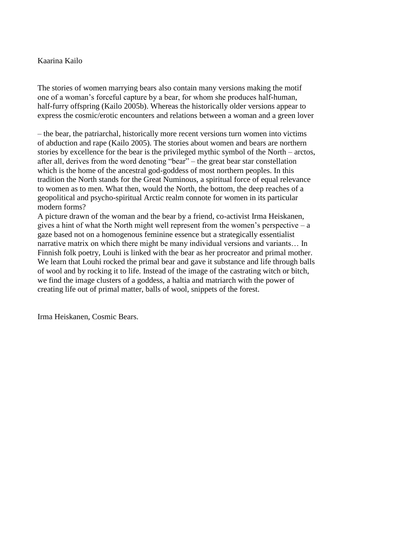The stories of women marrying bears also contain many versions making the motif one of a woman's forceful capture by a bear, for whom she produces half-human, half-furry offspring (Kailo 2005b). Whereas the historically older versions appear to express the cosmic/erotic encounters and relations between a woman and a green lover

– the bear, the patriarchal, historically more recent versions turn women into victims of abduction and rape (Kailo 2005). The stories about women and bears are northern stories by excellence for the bear is the privileged mythic symbol of the North – arctos, after all, derives from the word denoting "bear" – the great bear star constellation which is the home of the ancestral god-goddess of most northern peoples. In this tradition the North stands for the Great Numinous, a spiritual force of equal relevance to women as to men. What then, would the North, the bottom, the deep reaches of a geopolitical and psycho-spiritual Arctic realm connote for women in its particular modern forms?

A picture drawn of the woman and the bear by a friend, co-activist Irma Heiskanen, gives a hint of what the North might well represent from the women's perspective  $-$  a gaze based not on a homogenous feminine essence but a strategically essentialist narrative matrix on which there might be many individual versions and variants… In Finnish folk poetry, Louhi is linked with the bear as her procreator and primal mother. We learn that Louhi rocked the primal bear and gave it substance and life through balls of wool and by rocking it to life. Instead of the image of the castrating witch or bitch, we find the image clusters of a goddess, a haltia and matriarch with the power of creating life out of primal matter, balls of wool, snippets of the forest.

Irma Heiskanen, Cosmic Bears.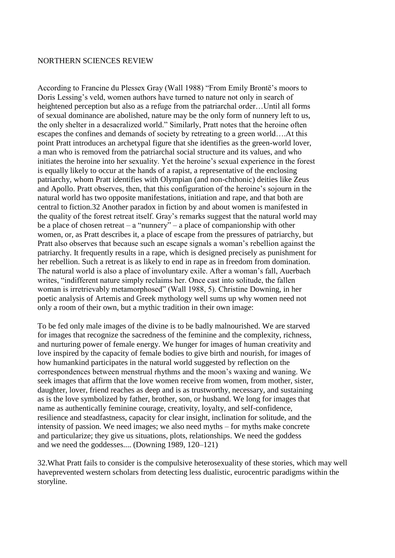According to Francine du Plessex Gray (Wall 1988) "From Emily Brontë's moors to Doris Lessing's veld, women authors have turned to nature not only in search of heightened perception but also as a refuge from the patriarchal order…Until all forms of sexual dominance are abolished, nature may be the only form of nunnery left to us, the only shelter in a desacralized world." Similarly, Pratt notes that the heroine often escapes the confines and demands of society by retreating to a green world….At this point Pratt introduces an archetypal figure that she identifies as the green-world lover, a man who is removed from the patriarchal social structure and its values, and who initiates the heroine into her sexuality. Yet the heroine's sexual experience in the forest is equally likely to occur at the hands of a rapist, a representative of the enclosing patriarchy, whom Pratt identifies with Olympian (and non-chthonic) deities like Zeus and Apollo. Pratt observes, then, that this configuration of the heroine's sojourn in the natural world has two opposite manifestations, initiation and rape, and that both are central to fiction.32 Another paradox in fiction by and about women is manifested in the quality of the forest retreat itself. Gray's remarks suggest that the natural world may be a place of chosen retreat – a "nunnery" – a place of companionship with other women, or, as Pratt describes it, a place of escape from the pressures of patriarchy, but Pratt also observes that because such an escape signals a woman's rebellion against the patriarchy. It frequently results in a rape, which is designed precisely as punishment for her rebellion. Such a retreat is as likely to end in rape as in freedom from domination. The natural world is also a place of involuntary exile. After a woman's fall, Auerbach writes, "indifferent nature simply reclaims her. Once cast into solitude, the fallen woman is irretrievably metamorphosed" (Wall 1988, 5). Christine Downing, in her poetic analysis of Artemis and Greek mythology well sums up why women need not only a room of their own, but a mythic tradition in their own image:

To be fed only male images of the divine is to be badly malnourished. We are starved for images that recognize the sacredness of the feminine and the complexity, richness, and nurturing power of female energy. We hunger for images of human creativity and love inspired by the capacity of female bodies to give birth and nourish, for images of how humankind participates in the natural world suggested by reflection on the correspondences between menstrual rhythms and the moon's waxing and waning. We seek images that affirm that the love women receive from women, from mother, sister, daughter, lover, friend reaches as deep and is as trustworthy, necessary, and sustaining as is the love symbolized by father, brother, son, or husband. We long for images that name as authentically feminine courage, creativity, loyalty, and self-confidence, resilience and steadfastness, capacity for clear insight, inclination for solitude, and the intensity of passion. We need images; we also need myths – for myths make concrete and particularize; they give us situations, plots, relationships. We need the goddess and we need the goddesses.... (Downing 1989, 120–121)

32.What Pratt fails to consider is the compulsive heterosexuality of these stories, which may well haveprevented western scholars from detecting less dualistic, eurocentric paradigms within the storyline.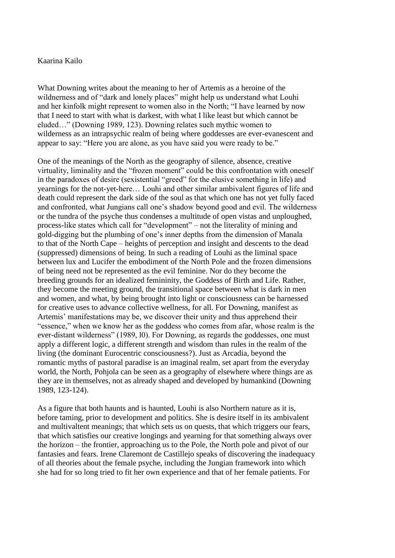What Downing writes about the meaning to her of Artemis as a heroine of the wildnerness and of "dark and lonely places" might help us understand what Louhi and her kinfolk might represent to women also in the North; "I have learned by now that I need to start with what is darkest, with what I like least but which cannot be eluded…" (Downing 1989, 123). Downing relates such mythic women to wilderness as an intrapsychic realm of being where goddesses are ever-evanescent and appear to say: "Here you are alone, as you have said you were ready to be."

One of the meanings of the North as the geography of silence, absence, creative virtuality, liminality and the "frozen moment" could be this confrontation with oneself in the paradoxes of desire (sexistential "greed" for the elusive something in life) and yearnings for the not-yet-here… Louhi and other similar ambivalent figures of life and death could represent the dark side of the soul as that which one has not yet fully faced and confronted, what Jungians call one's shadow beyond good and evil. The wilderness or the tundra of the psyche thus condenses a multitude of open vistas and unploughed, process-like states which call for "development" – not the literality of mining and gold-digging but the plumbing of one's inner depths from the dimension of Manala to that of the North Cape – heights of perception and insight and descents to the dead (suppressed) dimensions of being. In such a reading of Louhi as the liminal space between lux and Lucifer the embodiment of the North Pole and the frozen dimensions of being need not be represented as the evil feminine. Nor do they become the breeding grounds for an idealized femininity, the Goddess of Birth and Life. Rather, they become the meeting ground, the transitional space between what is dark in men and women, and what, by being brought into light or consciousness can be harnessed for creative uses to advance collective wellness, for all. For Downing, manifest as Artemis' manifestations may be, we discover their unity and thus apprehend their "essence," when we know her as the goddess who comes from afar, whose realm is the ever-distant wilderness" (1989, l0). For Downing, as regards the goddesses, one must apply a different logic, a different strength and wisdom than rules in the realm of the living (the dominant Eurocentric consciousness?). Just as Arcadia, beyond the romantic myths of pastoral paradise is an imaginal realm, set apart from the everyday world, the North, Pohjola can be seen as a geography of elsewhere where things are as they are in themselves, not as already shaped and developed by humankind (Downing 1989, 123-124).

As a figure that both haunts and is haunted, Louhi is also Northern nature as it is, before taming, prior to development and politics. She is desire itself in its ambivalent and multivaltent meanings; that which sets us on quests, that which triggers our fears, that which satisfies our creative longings and yearning for that something always over the horizon – the frontier, approaching us to the Pole, the North pole and pivot of our fantasies and fears. Irene Claremont de Castillejo speaks of discovering the inadequacy of all theories about the female psyche, including the Jungian framework into which she had for so long tried to fit her own experience and that of her female patients. For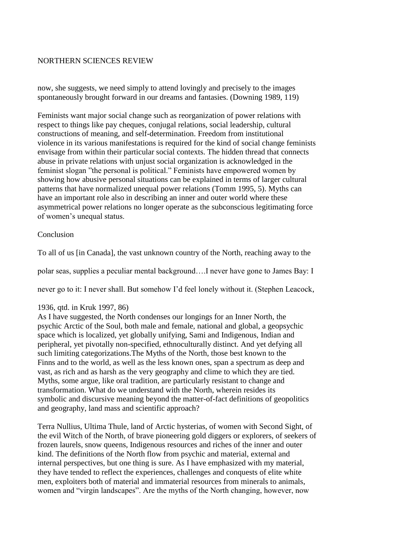now, she suggests, we need simply to attend lovingly and precisely to the images spontaneously brought forward in our dreams and fantasies. (Downing 1989, 119)

Feminists want major social change such as reorganization of power relations with respect to things like pay cheques, conjugal relations, social leadership, cultural constructions of meaning, and self-determination. Freedom from institutional violence in its various manifestations is required for the kind of social change feminists envisage from within their particular social contexts. The hidden thread that connects abuse in private relations with unjust social organization is acknowledged in the feminist slogan "the personal is political." Feminists have empowered women by showing how abusive personal situations can be explained in terms of larger cultural patterns that have normalized unequal power relations (Tomm 1995, 5). Myths can have an important role also in describing an inner and outer world where these asymmetrical power relations no longer operate as the subconscious legitimating force of women's unequal status.

#### Conclusion

To all of us [in Canada], the vast unknown country of the North, reaching away to the

polar seas, supplies a peculiar mental background….I never have gone to James Bay: I

never go to it: I never shall. But somehow I'd feel lonely without it. (Stephen Leacock,

#### 1936, qtd. in Kruk 1997, 86)

As I have suggested, the North condenses our longings for an Inner North, the psychic Arctic of the Soul, both male and female, national and global, a geopsychic space which is localized, yet globally unifying, Sami and Indigenous, Indian and peripheral, yet pivotally non-specified, ethnoculturally distinct. And yet defying all such limiting categorizations.The Myths of the North, those best known to the Finns and to the world, as well as the less known ones, span a spectrum as deep and vast, as rich and as harsh as the very geography and clime to which they are tied. Myths, some argue, like oral tradition, are particularly resistant to change and transformation. What do we understand with the North, wherein resides its symbolic and discursive meaning beyond the matter-of-fact definitions of geopolitics and geography, land mass and scientific approach?

Terra Nullius, Ultima Thule, land of Arctic hysterias, of women with Second Sight, of the evil Witch of the North, of brave pioneering gold diggers or explorers, of seekers of frozen laurels, snow queens, Indigenous resources and riches of the inner and outer kind. The definitions of the North flow from psychic and material, external and internal perspectives, but one thing is sure. As I have emphasized with my material, they have tended to reflect the experiences, challenges and conquests of elite white men, exploiters both of material and immaterial resources from minerals to animals, women and "virgin landscapes". Are the myths of the North changing, however, now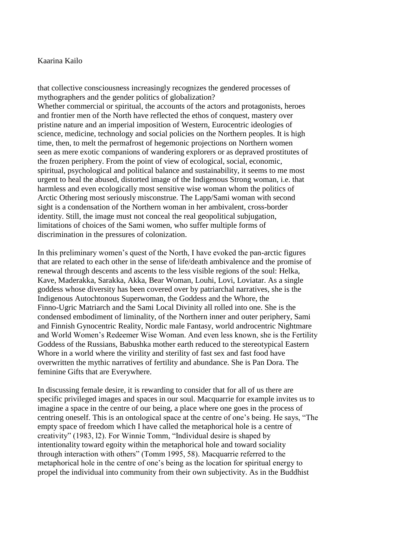that collective consciousness increasingly recognizes the gendered processes of mythographers and the gender politics of globalization? Whether commercial or spiritual, the accounts of the actors and protagonists, heroes and frontier men of the North have reflected the ethos of conquest, mastery over pristine nature and an imperial imposition of Western, Eurocentric ideologies of science, medicine, technology and social policies on the Northern peoples. It is high time, then, to melt the permafrost of hegemonic projections on Northern women seen as mere exotic companions of wandering explorers or as depraved prostitutes of the frozen periphery. From the point of view of ecological, social, economic, spiritual, psychological and political balance and sustainability, it seems to me most urgent to heal the abused, distorted image of the Indigenous Strong woman, i.e. that harmless and even ecologically most sensitive wise woman whom the politics of Arctic Othering most seriously misconstrue. The Lapp/Sami woman with second sight is a condensation of the Northern woman in her ambivalent, cross-border identity. Still, the image must not conceal the real geopolitical subjugation, limitations of choices of the Sami women, who suffer multiple forms of discrimination in the pressures of colonization.

In this preliminary women's quest of the North, I have evoked the pan-arctic figures that are related to each other in the sense of life/death ambivalence and the promise of renewal through descents and ascents to the less visible regions of the soul: Helka, Kave, Maderakka, Sarakka, Akka, Bear Woman, Louhi, Lovi, Loviatar. As a single goddess whose diversity has been covered over by patriarchal narratives, she is the Indigenous Autochtonous Superwoman, the Goddess and the Whore, the Finno-Ugric Matriarch and the Sami Local Divinity all rolled into one. She is the condensed embodiment of liminality, of the Northern inner and outer periphery, Sami and Finnish Gynocentric Reality, Nordic male Fantasy, world androcentric Nightmare and World Women's Redeemer Wise Woman. And even less known, she is the Fertility Goddess of the Russians, Babushka mother earth reduced to the stereotypical Eastern Whore in a world where the virility and sterility of fast sex and fast food have overwritten the mythic narratives of fertility and abundance. She is Pan Dora. The feminine Gifts that are Everywhere.

In discussing female desire, it is rewarding to consider that for all of us there are specific privileged images and spaces in our soul. Macquarrie for example invites us to imagine a space in the centre of our being, a place where one goes in the process of centring oneself. This is an ontological space at the centre of one's being. He says, "The empty space of freedom which I have called the metaphorical hole is a centre of creativity" (1983, l2). For Winnie Tomm, "Individual desire is shaped by intentionality toward egoity within the metaphorical hole and toward sociality through interaction with others" (Tomm 1995, 58). Macquarrie referred to the metaphorical hole in the centre of one's being as the location for spiritual energy to propel the individual into community from their own subjectivity. As in the Buddhist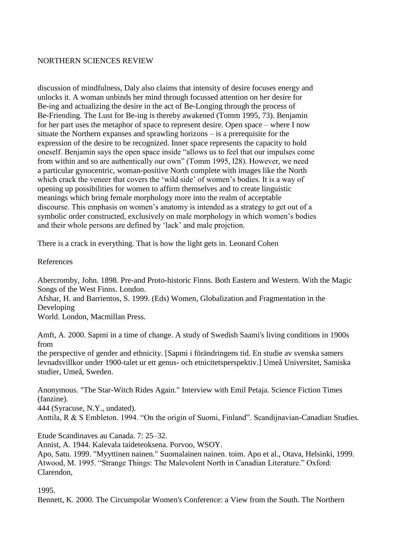discussion of mindfulness, Daly also claims that intensity of desire focuses energy and unlocks it. A woman unbinds her mind through focussed attention on her desire for Be-ing and actualizing the desire in the act of Be-Longing through the process of Be-Friending. The Lust for Be-ing is thereby awakened (Tomm 1995, 73). Benjamin for her part uses the metaphor of space to represent desire. Open space – where I now situate the Northern expanses and sprawling horizons – is a prerequisite for the expression of the desire to be recognized. Inner space represents the capacity to hold oneself. Benjamin says the open space inside "allows us to feel that our impulses come from within and so are authentically our own" (Tomm 1995, l28). However, we need a particular gynocentric, woman-positive North complete with images like the North which crack the veneer that covers the 'wild side' of women's bodies. It is a way of opening up possibilities for women to affirm themselves and to create linguistic meanings which bring female morphology more into the realm of acceptable discourse. This emphasis on women's anatomy is intended as a strategy to get out of a symbolic order constructed, exclusively on male morphology in which women's bodies and their whole persons are defined by 'lack' and male projction.

There is a crack in everything. That is how the light gets in. Leonard Cohen

# References

Abercromby, John. 1898. Pre-and Proto-historic Finns. Both Eastern and Western. With the Magic Songs of the West Finns. London.

Afshar, H. and Barrientos, S. 1999. (Eds) Women, Globalization and Fragmentation in the Developing

World. London, Macmillan Press.

Amft, A. 2000. Sapmi in a time of change. A study of Swedish Saami's living conditions in 1900s from

the perspective of gender and ethnicity. [Sapmi i förändringens tid. En studie av svenska samers levnadsvillkor under 1900-talet ur ett genus- och etnicitetsperspektiv.] Umeå Universitet, Samiska studier, Umeå, Sweden.

Anonymous. "The Star-Witch Rides Again." Interview with Emil Petaja. Science Fiction Times (fanzine).

444 (Syracuse, N.Y., undated).

Anttila, R & S Embleton. 1994. "On the origin of Suomi, Finland". Scandiinavian-Canadian Studies.

Etude Scandinaves au Canada. 7: 25–32.

Annist, A. 1944. Kalevala taideteoksena. Porvoo, WSOY.

Apo, Satu. 1999. "Myyttinen nainen." Suomalainen nainen. toim. Apo et al., Otava, Helsinki, 1999. Atwood, M. 1995. "Strange Things: The Malevolent North in Canadian Literature." Oxford: Clarendon,

1995.

Bennett, K. 2000. The Circumpolar Women's Conference: a View from the South. The Northern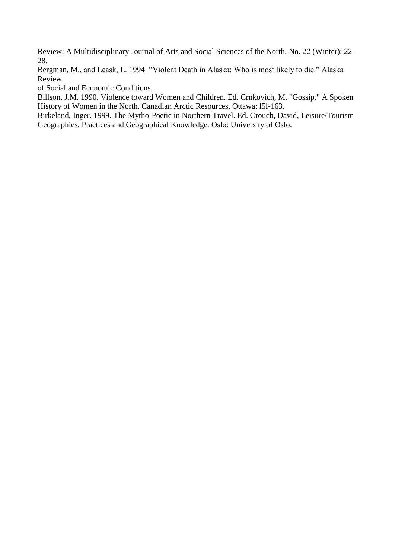Review: A Multidisciplinary Journal of Arts and Social Sciences of the North. No. 22 (Winter): 22- 28.

Bergman, M., and Leask, L. 1994. "Violent Death in Alaska: Who is most likely to die." Alaska Review

of Social and Economic Conditions.

Billson, J.M. 1990. Violence toward Women and Children. Ed. Crnkovich, M. "Gossip." A Spoken History of Women in the North. Canadian Arctic Resources, Ottawa: l5l-163.

Birkeland, Inger. 1999. The Mytho-Poetic in Northern Travel. Ed. Crouch, David, Leisure/Tourism Geographies. Practices and Geographical Knowledge. Oslo: University of Oslo.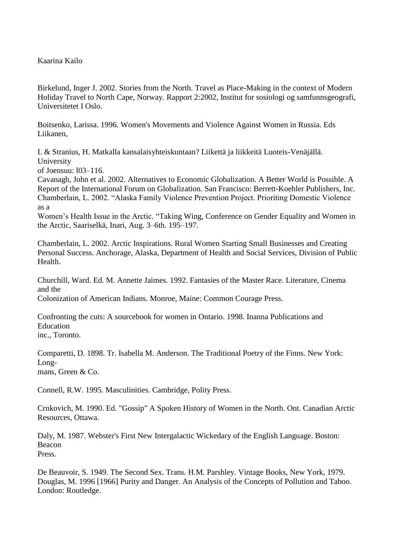Birkelund, Inger J. 2002. Stories from the North. Travel as Place-Making in the context of Modern Holiday Travel to North Cape, Norway. Rapport 2:2002, Institut for sosiologi og samfunnsgeografi, Universitetet I Oslo.

Boitsenko, Larissa. 1996. Women's Movements and Violence Against Women in Russia. Eds Liikanen,

I. & Stranius, H. Matkalla kansalaisyhteiskuntaan? Liikettä ja liikkeitä Luoteis-Venäjällä. University

of Joensuu: l03–116.

Cavanagh, John et al. 2002. Alternatives to Economic Globalization. A Better World is Possible. A Report of the International Forum on Globalization. San Francisco: Berrett-Koehler Publishers, Inc. Chamberlain, L. 2002. "Alaska Family Violence Prevention Project. Prioriting Domestic Violence as a

Women's Health Issue in the Arctic. "Taking Wing, Conference on Gender Equality and Women in the Arctic, Saariselkä, Inari, Aug. 3–6th. 195–197.

Chamberlain, L. 2002. Arctic Inspirations. Rural Women Starting Small Businesses and Creating Personal Success. Anchorage, Alaska, Department of Health and Social Services, Division of Public Health.

Churchill, Ward. Ed. M. Annette Jaimes. 1992. Fantasies of the Master Race. Literature, Cinema and the

Colonization of American Indians. Monroe, Maine: Common Courage Press.

Confronting the cuts: A sourcebook for women in Ontario. 1998. Inanna Publications and Education inc., Toronto.

Comparetti, D. 1898. Tr. Isabella M. Anderson. The Traditional Poetry of the Finns. New York: Longmans, Green & Co.

Connell, R.W. 1995. Masculinities. Cambridge, Polity Press.

Crnkovich, M. 1990. Ed. "Gossip" A Spoken History of Women in the North. Ont. Canadian Arctic Resources, Ottawa.

Daly, M. 1987. Webster's First New Intergalactic Wickedary of the English Language. Boston: Beacon

Press.

De Beauvoir, S. 1949. The Second Sex. Trans. H.M. Parshley. Vintage Books, New York, 1979. Douglas, M. 1996 [1966] Purity and Danger. An Analysis of the Concepts of Pollution and Taboo. London: Routledge.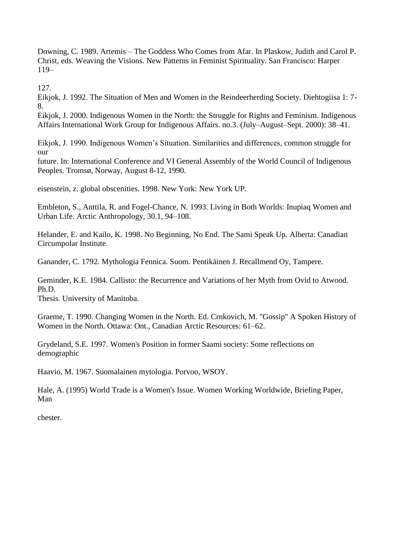Downing, C. 1989. Artemis – The Goddess Who Comes from Afar. In Plaskow, Judith and Carol P. Christ, eds. Weaving the Visions. New Patterns in Feminist Spirituality. San Francisco: Harper 119–

127.

Eikjok, J. 1992. The Situation of Men and Women in the Reindeerherding Society. Diehtogiisa 1: 7- 8.

Eikjok, J. 2000. Indigenous Women in the North: the Struggle for Rights and Feminism. Indigenous Affairs International Work Group for Indigenous Affairs. no.3. (July–August–Sept. 2000): 38–41.

Eikjok, J. 1990. Indigenous Women's Situation. Similarities and differences, common struggle for our

future. In: International Conference and VI General Assembly of the World Council of Indigenous Peoples. Tromsø, Norway, August 8-12, 1990.

eisenstein, z. global obscenities. 1998. New York: New York UP.

Embleton, S., Anttila, R. and Fogel-Chance, N. 1993. Living in Both Worlds: Inupiaq Women and Urban Life. Arctic Anthropology, 30.1, 94–108.

Helander, E. and Kailo, K. 1998. No Beginning, No End. The Sami Speak Up. Alberta: Canadian Circumpolar Institute.

Ganander, C. 1792. Mythologia Fennica. Suom. Pentikäinen J. Recallmend Oy, Tampere.

Geminder, K.E. 1984. Callisto: the Recurrence and Variations of her Myth from Ovid to Atwood. Ph.D.

Thesis. University of Manitoba.

Graeme, T. 1990. Changing Women in the North. Ed. Crnkovich, M. "Gossip" A Spoken History of Women in the North. Ottawa: Ont., Canadian Arctic Resources: 61–62.

Grydeland, S.E. 1997. Women's Position in former Saami society: Some reflections on demographic

Haavio, M. 1967. Suomalainen mytologia. Porvoo, WSOY.

Hale, A. (1995) World Trade is a Women's Issue. Women Working Worldwide, Briefing Paper, Man

chester.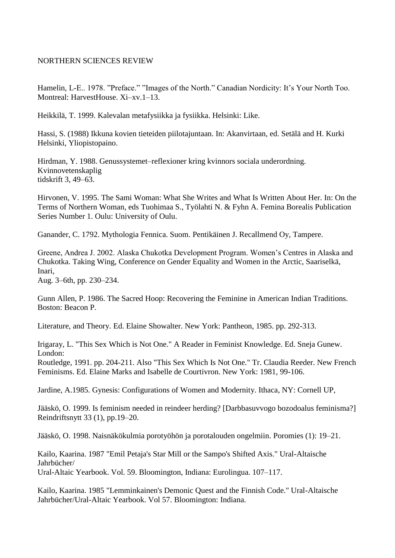Hamelin, L-E.. 1978. "Preface." "Images of the North." Canadian Nordicity: It's Your North Too. Montreal: HarvestHouse. Xi–xv.1–13.

Heikkilä, T. 1999. Kalevalan metafysiikka ja fysiikka. Helsinki: Like.

Hassi, S. (1988) Ikkuna kovien tieteiden piilotajuntaan. In: Akanvirtaan, ed. Setälä and H. Kurki Helsinki, Yliopistopaino.

Hirdman, Y. 1988. Genussystemet–reflexioner kring kvinnors sociala underordning. Kvinnovetenskaplig tidskrift 3, 49–63.

Hirvonen, V. 1995. The Sami Woman: What She Writes and What Is Written About Her. In: On the Terms of Northern Woman, eds Tuohimaa S., Työlahti N. & Fyhn A. Femina Borealis Publication Series Number 1. Oulu: University of Oulu.

Ganander, C. 1792. Mythologia Fennica. Suom. Pentikäinen J. Recallmend Oy, Tampere.

Greene, Andrea J. 2002. Alaska Chukotka Development Program. Women's Centres in Alaska and Chukotka. Taking Wing, Conference on Gender Equality and Women in the Arctic, Saariselkä, Inari,

Aug. 3–6th, pp. 230–234.

Gunn Allen, P. 1986. The Sacred Hoop: Recovering the Feminine in American Indian Traditions. Boston: Beacon P.

Literature, and Theory. Ed. Elaine Showalter. New York: Pantheon, 1985. pp. 292-313.

Irigaray, L. "This Sex Which is Not One." A Reader in Feminist Knowledge. Ed. Sneja Gunew. London:

Routledge, 1991. pp. 204-211. Also "This Sex Which Is Not One." Tr. Claudia Reeder. New French Feminisms. Ed. Elaine Marks and Isabelle de Courtivron. New York: 1981, 99-106.

Jardine, A.1985. Gynesis: Configurations of Women and Modernity. Ithaca, NY: Cornell UP,

Jääskö, O. 1999. Is feminism needed in reindeer herding? [Darbbasuvvogo bozodoalus feminisma?] Reindriftsnytt 33 (1), pp.19–20.

Jääskö, O. 1998. Naisnäkökulmia porotyöhön ja porotalouden ongelmiin. Poromies (1): 19–21.

Kailo, Kaarina. 1987 "Emil Petaja's Star Mill or the Sampo's Shifted Axis." Ural-Altaische Jahrbücher/

Ural-Altaic Yearbook. Vol. 59. Bloomington, Indiana: Eurolingua. 107–117.

Kailo, Kaarina. 1985 "Lemminkainen's Demonic Quest and the Finnish Code." Ural-Altaische Jahrbücher/Ural-Altaic Yearbook. Vol 57. Bloomington: Indiana.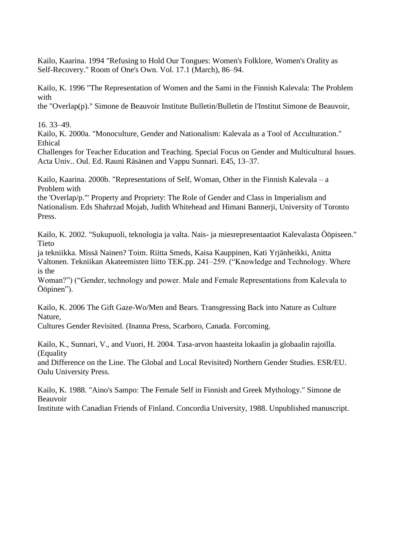Kailo, Kaarina. 1994 "Refusing to Hold Our Tongues: Women's Folklore, Women's Orality as Self-Recovery." Room of One's Own. Vol. 17.1 (March), 86–94.

Kailo, K. 1996 "The Representation of Women and the Sami in the Finnish Kalevala: The Problem with

the "Overlap(p)." Simone de Beauvoir Institute Bulletin/Bulletin de l'Institut Simone de Beauvoir,

16. 33–49.

Kailo, K. 2000a. "Monoculture, Gender and Nationalism: Kalevala as a Tool of Acculturation." Ethical

Challenges for Teacher Education and Teaching. Special Focus on Gender and Multicultural Issues. Acta Univ.. Oul. Ed. Rauni Räsänen and Vappu Sunnari. E45, 13–37.

Kailo, Kaarina. 2000b. "Representations of Self, Woman, Other in the Finnish Kalevala – a Problem with

the 'Overlap/p.'" Property and Propriety: The Role of Gender and Class in Imperialism and Nationalism. Eds Shahrzad Mojab, Judith Whitehead and Himani Bannerji, University of Toronto Press.

Kailo, K. 2002. "Sukupuoli, teknologia ja valta. Nais- ja miesrepresentaatiot Kalevalasta Ööpiseen." Tieto

ja tekniikka. Missä Nainen? Toim. Riitta Smeds, Kaisa Kauppinen, Kati Yrjänheikki, Anitta Valtonen. Tekniikan Akateemisten liitto TEK.pp. 241–259. ("Knowledge and Technology. Where is the

Woman?") ("Gender, technology and power. Male and Female Representations from Kalevala to Ööpinen").

Kailo, K. 2006 The Gift Gaze-Wo/Men and Bears. Transgressing Back into Nature as Culture Nature,

Cultures Gender Revisited. (Inanna Press, Scarboro, Canada. Forcoming.

Kailo, K., Sunnari, V., and Vuori, H. 2004. Tasa-arvon haasteita lokaalin ja globaalin rajoilla. (Equality

and Difference on the Line. The Global and Local Revisited) Northern Gender Studies. ESR/EU. Oulu University Press.

Kailo, K. 1988. "Aino's Sampo: The Female Self in Finnish and Greek Mythology." Simone de Beauvoir

Institute with Canadian Friends of Finland. Concordia University, 1988. Unpublished manuscript.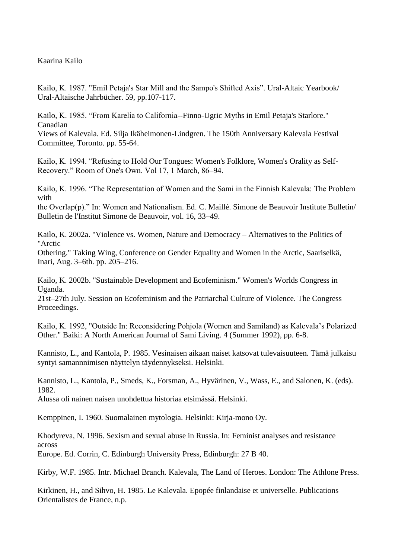Kailo, K. 1987. "Emil Petaja's Star Mill and the Sampo's Shifted Axis". Ural-Altaic Yearbook/ Ural-Altaische Jahrbücher. 59, pp.107-117.

Kailo, K. 1985. "From Karelia to California--Finno-Ugric Myths in Emil Petaja's Starlore." Canadian

Views of Kalevala. Ed. Silja Ikäheimonen-Lindgren. The 150th Anniversary Kalevala Festival Committee, Toronto. pp. 55-64.

Kailo, K. 1994. "Refusing to Hold Our Tongues: Women's Folklore, Women's Orality as Self-Recovery." Room of One's Own. Vol 17, 1 March, 86–94.

Kailo, K. 1996. "The Representation of Women and the Sami in the Finnish Kalevala: The Problem with

the Overlap(p)." In: Women and Nationalism. Ed. C. Maillé. Simone de Beauvoir Institute Bulletin/ Bulletin de l'Institut Simone de Beauvoir, vol. 16, 33–49.

Kailo, K. 2002a. "Violence vs. Women, Nature and Democracy – Alternatives to the Politics of "Arctic

Othering." Taking Wing, Conference on Gender Equality and Women in the Arctic, Saariselkä, Inari, Aug. 3–6th. pp. 205–216.

Kailo, K. 2002b. "Sustainable Development and Ecofeminism." Women's Worlds Congress in Uganda.

21st–27th July. Session on Ecofeminism and the Patriarchal Culture of Violence. The Congress Proceedings.

Kailo, K. 1992, "Outside In: Reconsidering Pohjola (Women and Samiland) as Kalevala's Polarized Other." Baiki: A North American Journal of Sami Living. 4 (Summer 1992), pp. 6-8.

Kannisto, L., and Kantola, P. 1985. Vesinaisen aikaan naiset katsovat tulevaisuuteen. Tämä julkaisu syntyi samannnimisen näyttelyn täydennykseksi. Helsinki.

Kannisto, L., Kantola, P., Smeds, K., Forsman, A., Hyvärinen, V., Wass, E., and Salonen, K. (eds). 1982.

Alussa oli nainen naisen unohdettua historiaa etsimässä. Helsinki.

Kemppinen, I. 1960. Suomalainen mytologia. Helsinki: Kirja-mono Oy.

Khodyreva, N. 1996. Sexism and sexual abuse in Russia. In: Feminist analyses and resistance across

Europe. Ed. Corrin, C. Edinburgh University Press, Edinburgh: 27 B 40.

Kirby, W.F. 1985. Intr. Michael Branch. Kalevala, The Land of Heroes. London: The Athlone Press.

Kirkinen, H., and Sihvo, H. 1985. Le Kalevala. Epopée finlandaise et universelle. Publications Orientalistes de France, n.p.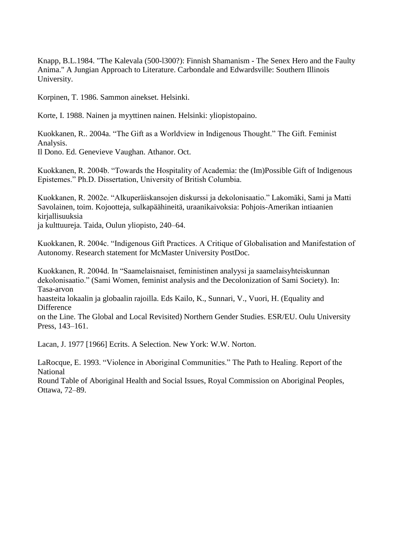Knapp, B.L.1984. "The Kalevala (500-l300?): Finnish Shamanism - The Senex Hero and the Faulty Anima." A Jungian Approach to Literature. Carbondale and Edwardsville: Southern Illinois University.

Korpinen, T. 1986. Sammon ainekset. Helsinki.

Korte, I. 1988. Nainen ja myyttinen nainen. Helsinki: yliopistopaino.

Kuokkanen, R.. 2004a. "The Gift as a Worldview in Indigenous Thought." The Gift. Feminist Analysis.

Il Dono. Ed. Genevieve Vaughan. Athanor. Oct.

Kuokkanen, R. 2004b. "Towards the Hospitality of Academia: the (Im)Possible Gift of Indigenous Epistemes." Ph.D. Dissertation, University of British Columbia.

Kuokkanen, R. 2002e. "Alkuperäiskansojen diskurssi ja dekolonisaatio." Lakomäki, Sami ja Matti Savolainen, toim. Kojootteja, sulkapäähineitä, uraanikaivoksia: Pohjois-Amerikan intiaanien kirjallisuuksia

ja kulttuureja. Taida, Oulun yliopisto, 240–64.

Kuokkanen, R. 2004c. "Indigenous Gift Practices. A Critique of Globalisation and Manifestation of Autonomy. Research statement for McMaster University PostDoc.

Kuokkanen, R. 2004d. In "Saamelaisnaiset, feministinen analyysi ja saamelaisyhteiskunnan dekolonisaatio." (Sami Women, feminist analysis and the Decolonization of Sami Society). In: Tasa-arvon

haasteita lokaalin ja globaalin rajoilla. Eds Kailo, K., Sunnari, V., Vuori, H. (Equality and Difference

on the Line. The Global and Local Revisited) Northern Gender Studies. ESR/EU. Oulu University Press, 143–161.

Lacan, J. 1977 [1966] Ecrits. A Selection. New York: W.W. Norton.

LaRocque, E. 1993. "Violence in Aboriginal Communities." The Path to Healing. Report of the National

Round Table of Aboriginal Health and Social Issues, Royal Commission on Aboriginal Peoples, Ottawa, 72–89.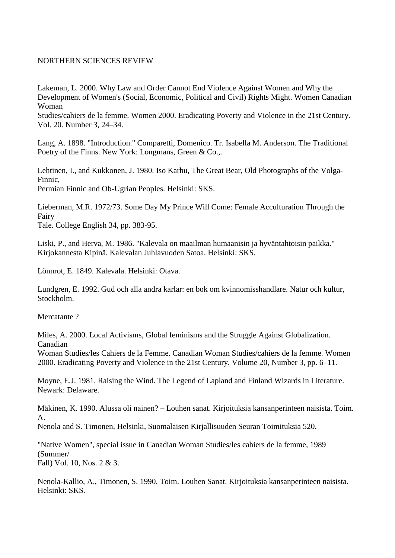Lakeman, L. 2000. Why Law and Order Cannot End Violence Against Women and Why the Development of Women's (Social, Economic, Political and Civil) Rights Might. Women Canadian Woman

Studies/cahiers de la femme. Women 2000. Eradicating Poverty and Violence in the 21st Century. Vol. 20. Number 3, 24–34.

Lang, A. 1898. "Introduction." Comparetti, Domenico. Tr. Isabella M. Anderson. The Traditional Poetry of the Finns. New York: Longmans, Green & Co.,.

Lehtinen, I., and Kukkonen, J. 1980. Iso Karhu, The Great Bear, Old Photographs of the Volga-Finnic,

Permian Finnic and Ob-Ugrian Peoples. Helsinki: SKS.

Lieberman, M.R. 1972/73. Some Day My Prince Will Come: Female Acculturation Through the Fairy Tale. College English 34, pp. 383-95.

Liski, P., and Herva, M. 1986. "Kalevala on maailman humaanisin ja hyväntahtoisin paikka." Kirjokannesta Kipinä. Kalevalan Juhlavuoden Satoa. Helsinki: SKS.

Lönnrot, E. 1849. Kalevala. Helsinki: Otava.

Lundgren, E. 1992. Gud och alla andra karlar: en bok om kvinnomisshandlare. Natur och kultur, Stockholm.

Mercatante ?

Miles, A. 2000. Local Activisms, Global feminisms and the Struggle Against Globalization. Canadian

Woman Studies/les Cahiers de la Femme. Canadian Woman Studies/cahiers de la femme. Women 2000. Eradicating Poverty and Violence in the 21st Century. Volume 20, Number 3, pp. 6–11.

Moyne, E.J. 1981. Raising the Wind. The Legend of Lapland and Finland Wizards in Literature. Newark: Delaware.

Mäkinen, K. 1990. Alussa oli nainen? – Louhen sanat. Kirjoituksia kansanperinteen naisista. Toim. A.

Nenola and S. Timonen, Helsinki, Suomalaisen Kirjallisuuden Seuran Toimituksia 520.

"Native Women", special issue in Canadian Woman Studies/les cahiers de la femme, 1989 (Summer/ Fall) Vol. 10, Nos. 2 & 3.

Nenola-Kallio, A., Timonen, S. 1990. Toim. Louhen Sanat. Kirjoituksia kansanperinteen naisista. Helsinki: SKS.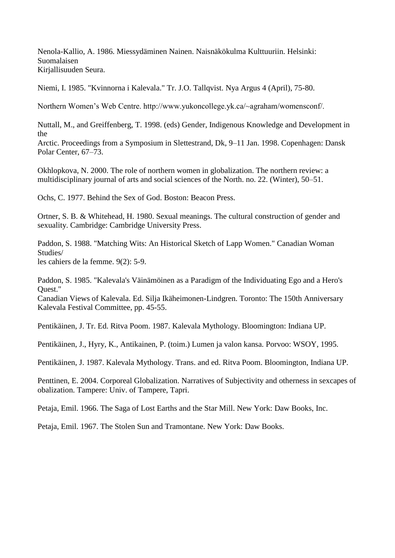Nenola-Kallio, A. 1986. Miessydäminen Nainen. Naisnäkökulma Kulttuuriin. Helsinki: Suomalaisen Kirjallisuuden Seura.

Niemi, I. 1985. "Kvinnorna i Kalevala." Tr. J.O. Tallqvist. Nya Argus 4 (April), 75-80.

Northern Women's Web Centre. http://www.yukoncollege.yk.ca/~agraham/womensconf/.

Nuttall, M., and Greiffenberg, T. 1998. (eds) Gender, Indigenous Knowledge and Development in the

Arctic. Proceedings from a Symposium in Slettestrand, Dk, 9–11 Jan. 1998. Copenhagen: Dansk Polar Center, 67–73.

Okhlopkova, N. 2000. The role of northern women in globalization. The northern review: a multidisciplinary journal of arts and social sciences of the North. no. 22. (Winter), 50–51.

Ochs, C. 1977. Behind the Sex of God. Boston: Beacon Press.

Ortner, S. B. & Whitehead, H. 1980. Sexual meanings. The cultural construction of gender and sexuality. Cambridge: Cambridge University Press.

Paddon, S. 1988. "Matching Wits: An Historical Sketch of Lapp Women." Canadian Woman Studies/ les cahiers de la femme. 9(2): 5-9.

Paddon, S. 1985. "Kalevala's Väinämöinen as a Paradigm of the Individuating Ego and a Hero's Quest."

Canadian Views of Kalevala. Ed. Silja Ikäheimonen-Lindgren. Toronto: The 150th Anniversary Kalevala Festival Committee, pp. 45-55.

Pentikäinen, J. Tr. Ed. Ritva Poom. 1987. Kalevala Mythology. Bloomington: Indiana UP.

Pentikäinen, J., Hyry, K., Antikainen, P. (toim.) Lumen ja valon kansa. Porvoo: WSOY, 1995.

Pentikäinen, J. 1987. Kalevala Mythology. Trans. and ed. Ritva Poom. Bloomington, Indiana UP.

Penttinen, E. 2004. Corporeal Globalization. Narratives of Subjectivity and otherness in sexcapes of obalization. Tampere: Univ. of Tampere, Tapri.

Petaja, Emil. 1966. The Saga of Lost Earths and the Star Mill. New York: Daw Books, Inc.

Petaja, Emil. 1967. The Stolen Sun and Tramontane. New York: Daw Books.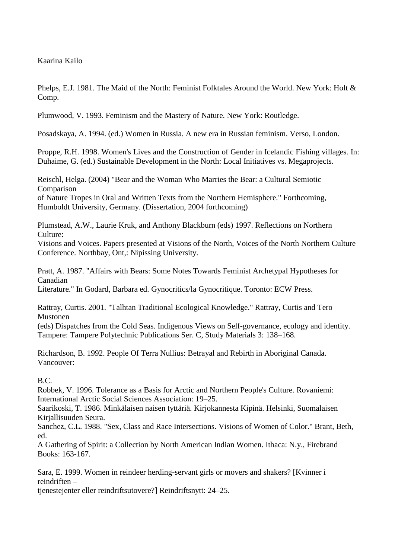## Kaarina Kailo

Phelps, E.J. 1981. The Maid of the North: Feminist Folktales Around the World. New York: Holt & Comp.

Plumwood, V. 1993. Feminism and the Mastery of Nature. New York: Routledge.

Posadskaya, A. 1994. (ed.) Women in Russia. A new era in Russian feminism. Verso, London.

Proppe, R.H. 1998. Women's Lives and the Construction of Gender in Icelandic Fishing villages. In: Duhaime, G. (ed.) Sustainable Development in the North: Local Initiatives vs. Megaprojects.

Reischl, Helga. (2004) "Bear and the Woman Who Marries the Bear: a Cultural Semiotic Comparison of Nature Tropes in Oral and Written Texts from the Northern Hemisphere." Forthcoming, Humboldt University, Germany. (Dissertation, 2004 forthcoming)

Plumstead, A.W., Laurie Kruk, and Anthony Blackburn (eds) 1997. Reflections on Northern Culture:

Visions and Voices. Papers presented at Visions of the North, Voices of the North Northern Culture Conference. Northbay, Ont,: Nipissing University.

Pratt, A. 1987. "Affairs with Bears: Some Notes Towards Feminist Archetypal Hypotheses for Canadian

Literature." In Godard, Barbara ed. Gynocritics/la Gynocritique. Toronto: ECW Press.

Rattray, Curtis. 2001. "Talhtan Traditional Ecological Knowledge." Rattray, Curtis and Tero Mustonen

(eds) Dispatches from the Cold Seas. Indigenous Views on Self-governance, ecology and identity. Tampere: Tampere Polytechnic Publications Ser. C, Study Materials 3: 138–168.

Richardson, B. 1992. People Of Terra Nullius: Betrayal and Rebirth in Aboriginal Canada. Vancouver:

## B.C.

Robbek, V. 1996. Tolerance as a Basis for Arctic and Northern People's Culture. Rovaniemi: International Arctic Social Sciences Association: 19–25.

Saarikoski, T. 1986. Minkälaisen naisen tyttäriä. Kirjokannesta Kipinä. Helsinki, Suomalaisen Kirjallisuuden Seura.

Sanchez, C.L. 1988. "Sex, Class and Race Intersections. Visions of Women of Color." Brant, Beth, ed.

A Gathering of Spirit: a Collection by North American Indian Women. Ithaca: N.y., Firebrand Books: 163-167.

Sara, E. 1999. Women in reindeer herding-servant girls or movers and shakers? [Kvinner i reindriften –

tjenestejenter eller reindriftsutovere?] Reindriftsnytt: 24–25.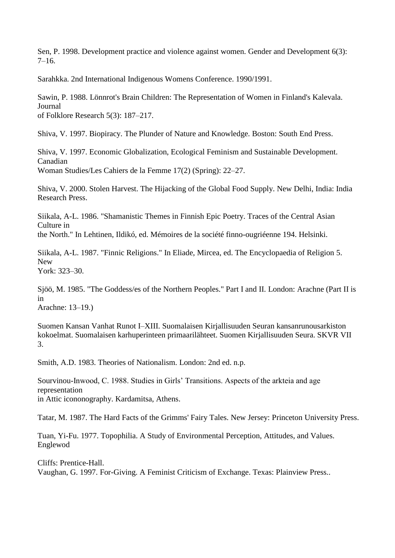Sen, P. 1998. Development practice and violence against women. Gender and Development 6(3):  $7-16.$ 

Sarahkka. 2nd International Indigenous Womens Conference. 1990/1991.

Sawin, P. 1988. Lönnrot's Brain Children: The Representation of Women in Finland's Kalevala. Journal of Folklore Research 5(3): 187–217.

Shiva, V. 1997. Biopiracy. The Plunder of Nature and Knowledge. Boston: South End Press.

Shiva, V. 1997. Economic Globalization, Ecological Feminism and Sustainable Development. Canadian Woman Studies/Les Cahiers de la Femme 17(2) (Spring): 22–27.

Shiva, V. 2000. Stolen Harvest. The Hijacking of the Global Food Supply. New Delhi, India: India Research Press.

Siikala, A-L. 1986. "Shamanistic Themes in Finnish Epic Poetry. Traces of the Central Asian Culture in the North." In Lehtinen, Ildikó, ed. Mémoires de la société finno-ougriéenne 194. Helsinki.

Siikala, A-L. 1987. "Finnic Religions." In Eliade, Mircea, ed. The Encyclopaedia of Religion 5. New

York: 323–30.

Sjöö, M. 1985. "The Goddess/es of the Northern Peoples." Part I and II. London: Arachne (Part II is in Arachne: 13–19.)

Suomen Kansan Vanhat Runot I–XIII. Suomalaisen Kirjallisuuden Seuran kansanrunousarkiston kokoelmat. Suomalaisen karhuperinteen primaarilähteet. Suomen Kirjallisuuden Seura. SKVR VII 3.

Smith, A.D. 1983. Theories of Nationalism. London: 2nd ed. n.p.

Sourvinou-Inwood, C. 1988. Studies in Girls' Transitions. Aspects of the arkteia and age representation in Attic icononography. Kardamitsa, Athens.

Tatar, M. 1987. The Hard Facts of the Grimms' Fairy Tales. New Jersey: Princeton University Press.

Tuan, Yi-Fu. 1977. Topophilia. A Study of Environmental Perception, Attitudes, and Values. Englewod

Cliffs: Prentice-Hall. Vaughan, G. 1997. For-Giving. A Feminist Criticism of Exchange. Texas: Plainview Press..